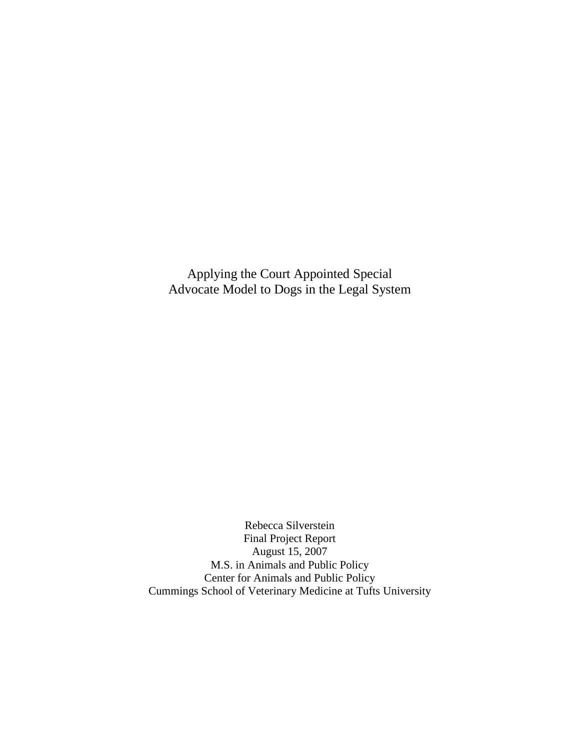Applying the Court Appointed Special Advocate Model to Dogs in the Legal System

Rebecca Silverstein Final Project Report August 15, 2007 M.S. in Animals and Public Policy Center for Animals and Public Policy Cummings School of Veterinary Medicine at Tufts University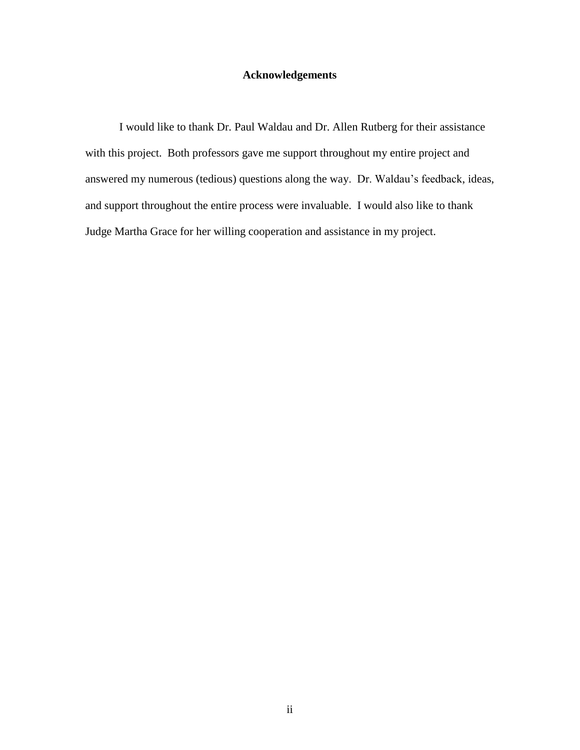# **Acknowledgements**

I would like to thank Dr. Paul Waldau and Dr. Allen Rutberg for their assistance with this project. Both professors gave me support throughout my entire project and answered my numerous (tedious) questions along the way. Dr. Waldau's feedback, ideas, and support throughout the entire process were invaluable. I would also like to thank Judge Martha Grace for her willing cooperation and assistance in my project.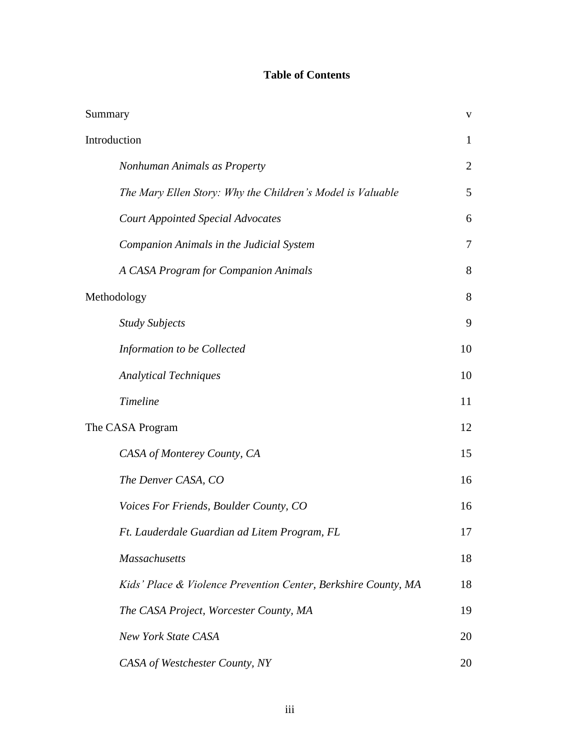# **Table of Contents**

| Summary                                                        | V              |
|----------------------------------------------------------------|----------------|
| Introduction                                                   | $\mathbf{1}$   |
| Nonhuman Animals as Property                                   | $\overline{2}$ |
| The Mary Ellen Story: Why the Children's Model is Valuable     | 5              |
| <b>Court Appointed Special Advocates</b>                       | 6              |
| Companion Animals in the Judicial System                       | $\overline{7}$ |
| A CASA Program for Companion Animals                           | 8              |
| Methodology                                                    | 8              |
| <b>Study Subjects</b>                                          | 9              |
| Information to be Collected                                    | 10             |
| <b>Analytical Techniques</b>                                   | 10             |
| <b>Timeline</b>                                                | 11             |
| The CASA Program                                               | 12             |
| CASA of Monterey County, CA                                    | 15             |
| The Denver CASA, CO                                            | 16             |
| Voices For Friends, Boulder County, CO                         | 16             |
| Ft. Lauderdale Guardian ad Litem Program, FL                   | 17             |
| <b>Massachusetts</b>                                           | 18             |
| Kids' Place & Violence Prevention Center, Berkshire County, MA | 18             |
| The CASA Project, Worcester County, MA                         | 19             |
| <b>New York State CASA</b>                                     | 20             |
| CASA of Westchester County, NY                                 | 20             |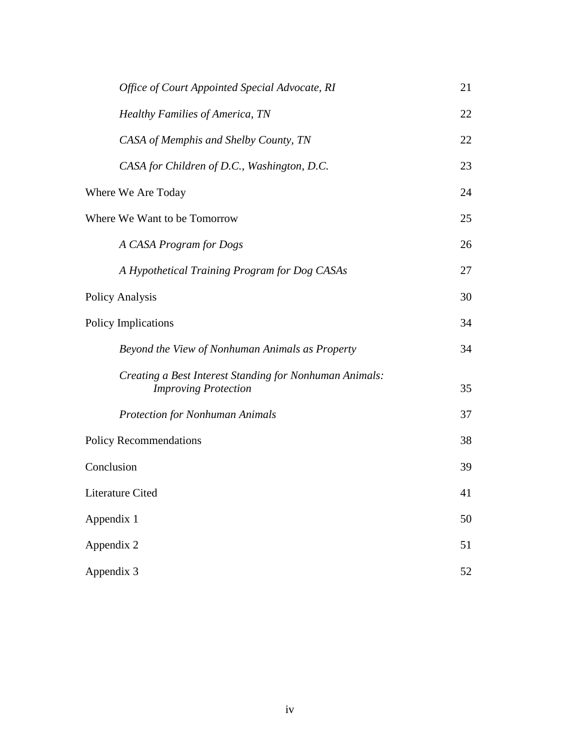| Office of Court Appointed Special Advocate, RI                                         | 21 |
|----------------------------------------------------------------------------------------|----|
| <b>Healthy Families of America, TN</b>                                                 | 22 |
| CASA of Memphis and Shelby County, TN                                                  | 22 |
| CASA for Children of D.C., Washington, D.C.                                            | 23 |
| Where We Are Today                                                                     | 24 |
| Where We Want to be Tomorrow                                                           | 25 |
| A CASA Program for Dogs                                                                | 26 |
| A Hypothetical Training Program for Dog CASAs                                          | 27 |
| Policy Analysis                                                                        | 30 |
| Policy Implications                                                                    | 34 |
| Beyond the View of Nonhuman Animals as Property                                        | 34 |
| Creating a Best Interest Standing for Nonhuman Animals:<br><b>Improving Protection</b> | 35 |
| <b>Protection for Nonhuman Animals</b>                                                 | 37 |
| <b>Policy Recommendations</b>                                                          | 38 |
| Conclusion                                                                             | 39 |
| Literature Cited                                                                       | 41 |
| Appendix 1                                                                             | 50 |
| Appendix 2                                                                             | 51 |
| Appendix 3                                                                             | 52 |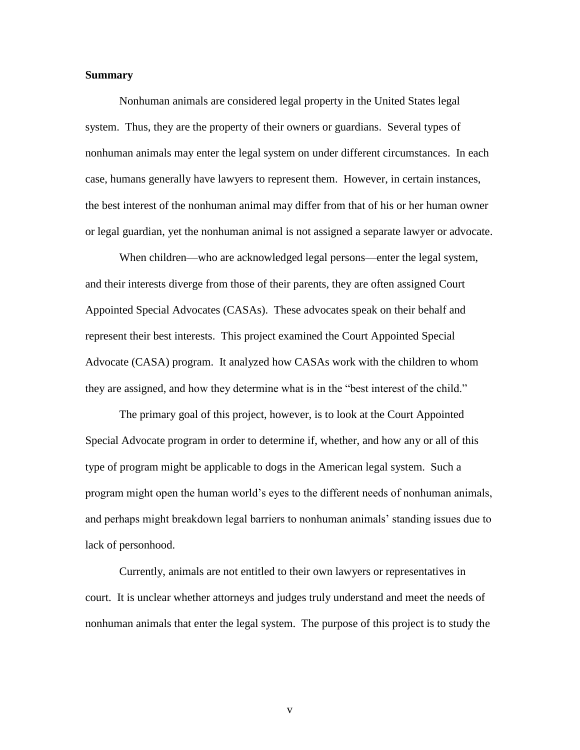### **Summary**

Nonhuman animals are considered legal property in the United States legal system. Thus, they are the property of their owners or guardians. Several types of nonhuman animals may enter the legal system on under different circumstances. In each case, humans generally have lawyers to represent them. However, in certain instances, the best interest of the nonhuman animal may differ from that of his or her human owner or legal guardian, yet the nonhuman animal is not assigned a separate lawyer or advocate.

When children—who are acknowledged legal persons—enter the legal system, and their interests diverge from those of their parents, they are often assigned Court Appointed Special Advocates (CASAs). These advocates speak on their behalf and represent their best interests. This project examined the Court Appointed Special Advocate (CASA) program. It analyzed how CASAs work with the children to whom they are assigned, and how they determine what is in the "best interest of the child."

The primary goal of this project, however, is to look at the Court Appointed Special Advocate program in order to determine if, whether, and how any or all of this type of program might be applicable to dogs in the American legal system. Such a program might open the human world's eyes to the different needs of nonhuman animals, and perhaps might breakdown legal barriers to nonhuman animals' standing issues due to lack of personhood.

Currently, animals are not entitled to their own lawyers or representatives in court. It is unclear whether attorneys and judges truly understand and meet the needs of nonhuman animals that enter the legal system. The purpose of this project is to study the

v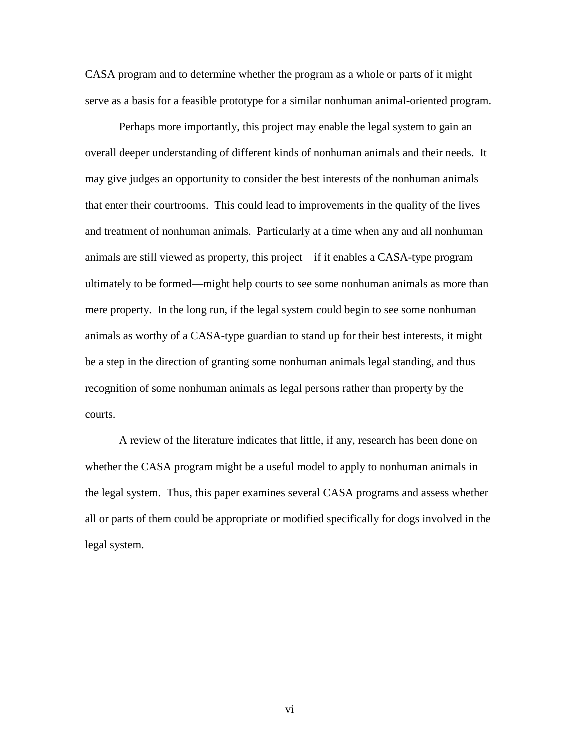CASA program and to determine whether the program as a whole or parts of it might serve as a basis for a feasible prototype for a similar nonhuman animal-oriented program.

Perhaps more importantly, this project may enable the legal system to gain an overall deeper understanding of different kinds of nonhuman animals and their needs. It may give judges an opportunity to consider the best interests of the nonhuman animals that enter their courtrooms. This could lead to improvements in the quality of the lives and treatment of nonhuman animals. Particularly at a time when any and all nonhuman animals are still viewed as property, this project—if it enables a CASA-type program ultimately to be formed—might help courts to see some nonhuman animals as more than mere property. In the long run, if the legal system could begin to see some nonhuman animals as worthy of a CASA-type guardian to stand up for their best interests, it might be a step in the direction of granting some nonhuman animals legal standing, and thus recognition of some nonhuman animals as legal persons rather than property by the courts.

A review of the literature indicates that little, if any, research has been done on whether the CASA program might be a useful model to apply to nonhuman animals in the legal system. Thus, this paper examines several CASA programs and assess whether all or parts of them could be appropriate or modified specifically for dogs involved in the legal system.

vi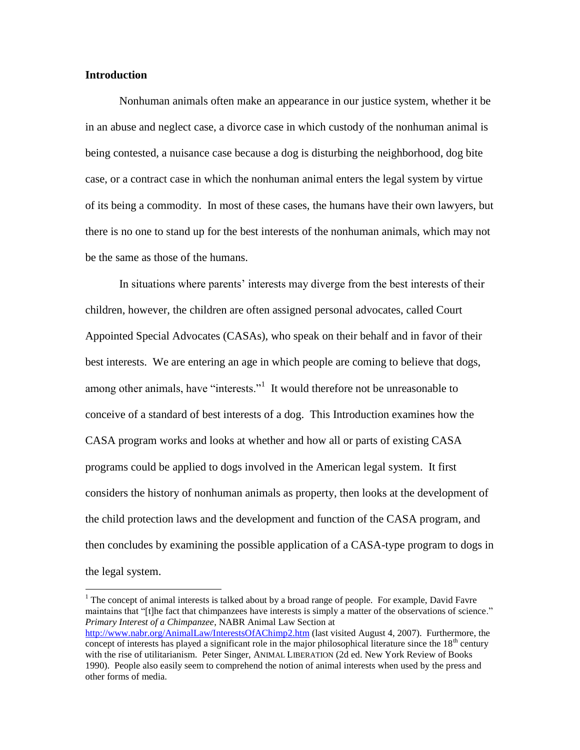# **Introduction**

 $\overline{a}$ 

Nonhuman animals often make an appearance in our justice system, whether it be in an abuse and neglect case, a divorce case in which custody of the nonhuman animal is being contested, a nuisance case because a dog is disturbing the neighborhood, dog bite case, or a contract case in which the nonhuman animal enters the legal system by virtue of its being a commodity. In most of these cases, the humans have their own lawyers, but there is no one to stand up for the best interests of the nonhuman animals, which may not be the same as those of the humans.

In situations where parents' interests may diverge from the best interests of their children, however, the children are often assigned personal advocates, called Court Appointed Special Advocates (CASAs), who speak on their behalf and in favor of their best interests. We are entering an age in which people are coming to believe that dogs, among other animals, have "interests."<sup>1</sup> It would therefore not be unreasonable to conceive of a standard of best interests of a dog. This Introduction examines how the CASA program works and looks at whether and how all or parts of existing CASA programs could be applied to dogs involved in the American legal system. It first considers the history of nonhuman animals as property, then looks at the development of the child protection laws and the development and function of the CASA program, and then concludes by examining the possible application of a CASA-type program to dogs in the legal system.

 $1$  The concept of animal interests is talked about by a broad range of people. For example, David Favre maintains that "[t]he fact that chimpanzees have interests is simply a matter of the observations of science." *Primary Interest of a Chimpanzee*, NABR Animal Law Section at <http://www.nabr.org/AnimalLaw/InterestsOfAChimp2.htm> (last visited August 4, 2007). Furthermore, the concept of interests has played a significant role in the major philosophical literature since the  $18<sup>th</sup>$  century with the rise of utilitarianism. Peter Singer, ANIMAL LIBERATION (2d ed. New York Review of Books 1990). People also easily seem to comprehend the notion of animal interests when used by the press and other forms of media.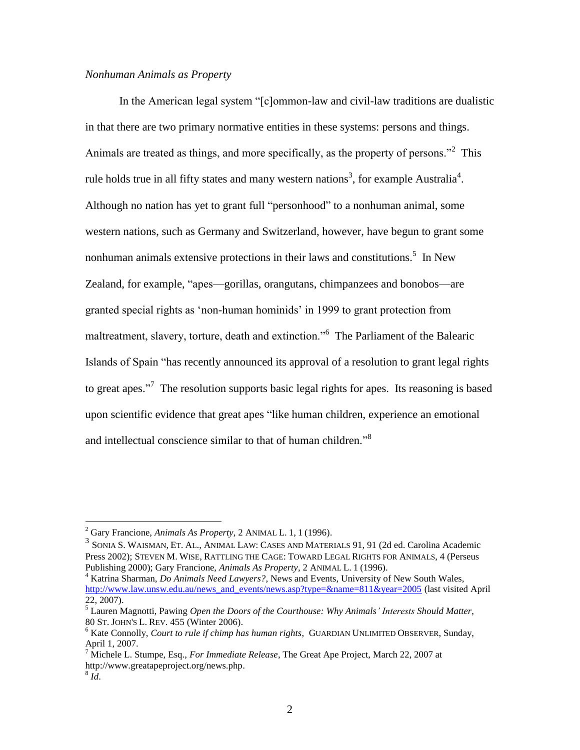# *Nonhuman Animals as Property*

In the American legal system "[c]ommon-law and civil-law traditions are dualistic in that there are two primary normative entities in these systems: persons and things. Animals are treated as things, and more specifically, as the property of persons."<sup>2</sup> This rule holds true in all fifty states and many western nations<sup>3</sup>, for example Australia<sup>4</sup>. Although no nation has yet to grant full "personhood" to a nonhuman animal, some western nations, such as Germany and Switzerland, however, have begun to grant some nonhuman animals extensive protections in their laws and constitutions.<sup>5</sup> In New Zealand, for example, "apes—gorillas, orangutans, chimpanzees and bonobos—are granted special rights as ‗non-human hominids' in 1999 to grant protection from maltreatment, slavery, torture, death and extinction."<sup>6</sup> The Parliament of the Balearic Islands of Spain "has recently announced its approval of a resolution to grant legal rights to great apes."<sup>7</sup> The resolution supports basic legal rights for apes. Its reasoning is based upon scientific evidence that great apes "like human children, experience an emotional and intellectual conscience similar to that of human children."<sup>8</sup>

<sup>2</sup> Gary Francione, *Animals As Property*, 2 ANIMAL L. 1, 1 (1996).

<sup>3</sup> SONIA S. WAISMAN, ET. AL., ANIMAL LAW: CASES AND MATERIALS 91, 91 (2d ed. Carolina Academic Press 2002); STEVEN M. WISE, RATTLING THE CAGE: TOWARD LEGAL RIGHTS FOR ANIMALS, 4 (Perseus Publishing 2000); Gary Francione, *Animals As Property*, 2 ANIMAL L. 1 (1996).

<sup>4</sup> Katrina Sharman, *Do Animals Need Lawyers?*, News and Events, University of New South Wales, [http://www.law.unsw.edu.au/news\\_and\\_events/news.asp?type=&name=811&year=2005](http://www.law.unsw.edu.au/news_and_events/news.asp?type=&name=811&year=2005) (last visited April 22, 2007).

<sup>5</sup> Lauren Magnotti, Pawing *Open the Doors of the Courthouse: Why Animals' Interests Should Matter*, 80 ST. JOHN'S L. REV. 455 (Winter 2006).

<sup>6</sup> Kate Connolly, *Court to rule if chimp has human rights*, GUARDIAN UNLIMITED OBSERVER, Sunday, April 1, 2007.

<sup>7</sup> Michele L. Stumpe, Esq., *For Immediate Release*, The Great Ape Project, March 22, 2007 at http://www.greatapeproject.org/news.php.

<sup>8</sup> *Id*.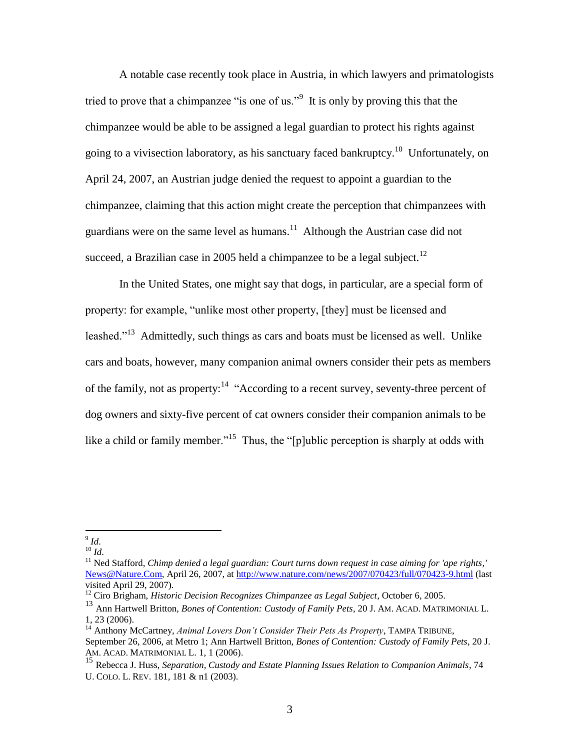A notable case recently took place in Austria, in which lawyers and primatologists tried to prove that a chimpanzee "is one of us."<sup>9</sup> It is only by proving this that the chimpanzee would be able to be assigned a legal guardian to protect his rights against going to a vivisection laboratory, as his sanctuary faced bankruptcy.<sup>10</sup> Unfortunately, on April 24, 2007, an Austrian judge denied the request to appoint a guardian to the chimpanzee, claiming that this action might create the perception that chimpanzees with guardians were on the same level as humans.<sup>11</sup> Although the Austrian case did not succeed, a Brazilian case in 2005 held a chimpanzee to be a legal subject.<sup>12</sup>

In the United States, one might say that dogs, in particular, are a special form of property: for example, "unlike most other property, [they] must be licensed and leashed."<sup>13</sup> Admittedly, such things as cars and boats must be licensed as well. Unlike cars and boats, however, many companion animal owners consider their pets as members of the family, not as property:<sup>14</sup> "According to a recent survey, seventy-three percent of dog owners and sixty-five percent of cat owners consider their companion animals to be like a child or family member."<sup>15</sup> Thus, the "[p]ublic perception is sharply at odds with

 9 *Id*.

<sup>10</sup> *Id*.

<sup>&</sup>lt;sup>11</sup> Ned Stafford, *Chimp denied a legal guardian: Court turns down request in case aiming for 'ape rights,'* [News@Nature.Com,](mailto:News@Nature.Com) April 26, 2007, at<http://www.nature.com/news/2007/070423/full/070423-9.html> (last visited April 29, 2007).

<sup>12</sup> Ciro Brigham, *Historic Decision Recognizes Chimpanzee as Legal Subject*, October 6, 2005.

<sup>13</sup> Ann Hartwell Britton, *Bones of Contention: Custody of Family Pets*, 20 J. AM. ACAD. MATRIMONIAL L. 1, 23 (2006).

<sup>14</sup> Anthony McCartney, *Animal Lovers Don't Consider Their Pets As Property*, TAMPA TRIBUNE, September 26, 2006, at Metro 1; Ann Hartwell Britton, *Bones of Contention: Custody of Family Pets*, 20 J. AM. ACAD. MATRIMONIAL L. 1, 1 (2006).

<sup>15</sup> Rebecca J. Huss, *Separation, Custody and Estate Planning Issues Relation to Companion Animals*, 74 U. COLO. L. REV. 181, 181 & n1 (2003).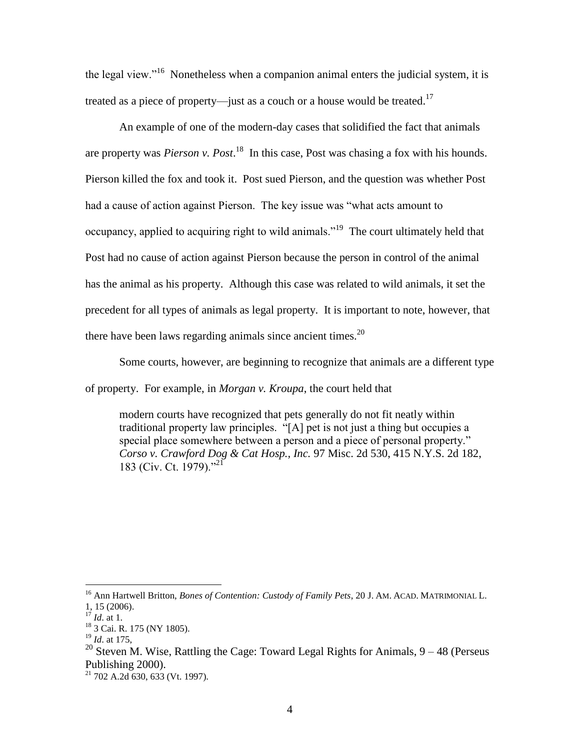the legal view."<sup>16</sup> Nonetheless when a companion animal enters the judicial system, it is treated as a piece of property—just as a couch or a house would be treated.<sup>17</sup>

An example of one of the modern-day cases that solidified the fact that animals are property was *Pierson v. Post*.<sup>18</sup> In this case, Post was chasing a fox with his hounds. Pierson killed the fox and took it. Post sued Pierson, and the question was whether Post had a cause of action against Pierson. The key issue was "what acts amount to occupancy, applied to acquiring right to wild animals.<sup> $19$ </sup> The court ultimately held that Post had no cause of action against Pierson because the person in control of the animal has the animal as his property. Although this case was related to wild animals, it set the precedent for all types of animals as legal property. It is important to note, however, that there have been laws regarding animals since ancient times.<sup>20</sup>

Some courts, however, are beginning to recognize that animals are a different type

of property. For example, in *Morgan v. Kroupa*, the court held that

modern courts have recognized that pets generally do not fit neatly within traditional property law principles. "[A] pet is not just a thing but occupies a special place somewhere between a person and a piece of personal property." *Corso v. Crawford Dog & Cat Hosp., Inc.* 97 Misc. 2d 530, 415 N.Y.S. 2d 182, 183 (Civ. Ct. 1979)."<sup>21</sup>

<sup>16</sup> Ann Hartwell Britton, *Bones of Contention: Custody of Family Pets*, 20 J. AM. ACAD. MATRIMONIAL L. 1, 15 (2006).

<sup>17</sup> *Id*. at 1.

<sup>18</sup> 3 Cai. R. 175 (NY 1805).

<sup>19</sup> *Id*. at 175,

<sup>&</sup>lt;sup>20</sup> Steven M. Wise, Rattling the Cage: Toward Legal Rights for Animals,  $9 - 48$  (Perseus Publishing 2000).

 $21$  702 A.2d 630, 633 (Vt. 1997).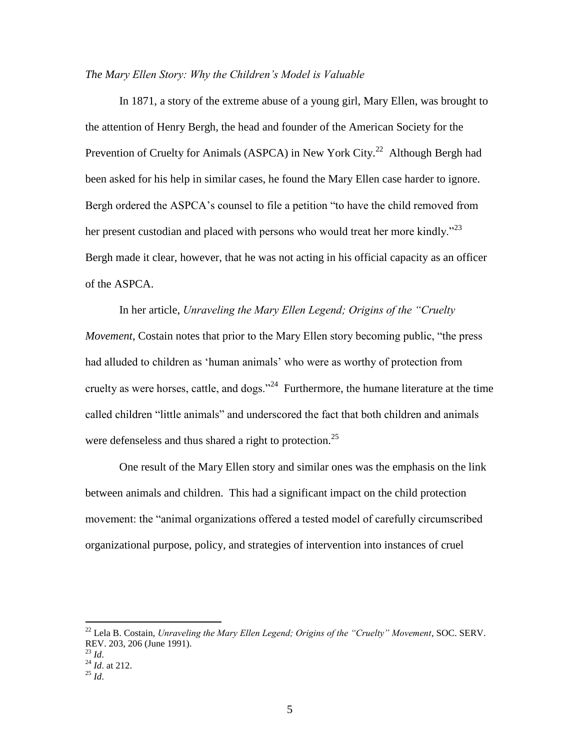# *The Mary Ellen Story: Why the Children's Model is Valuable*

In 1871, a story of the extreme abuse of a young girl, Mary Ellen, was brought to the attention of Henry Bergh, the head and founder of the American Society for the Prevention of Cruelty for Animals (ASPCA) in New York City.<sup>22</sup> Although Bergh had been asked for his help in similar cases, he found the Mary Ellen case harder to ignore. Bergh ordered the ASPCA's counsel to file a petition "to have the child removed from her present custodian and placed with persons who would treat her more kindly.<sup>23</sup> Bergh made it clear, however, that he was not acting in his official capacity as an officer of the ASPCA.

In her article, *Unraveling the Mary Ellen Legend; Origins of the "Cruelty Movement*, Costain notes that prior to the Mary Ellen story becoming public, "the press had alluded to children as 'human animals' who were as worthy of protection from cruelty as were horses, cattle, and dogs."<sup>24</sup> Furthermore, the humane literature at the time called children "little animals" and underscored the fact that both children and animals were defenseless and thus shared a right to protection.<sup>25</sup>

One result of the Mary Ellen story and similar ones was the emphasis on the link between animals and children. This had a significant impact on the child protection movement: the "animal organizations offered a tested model of carefully circumscribed organizational purpose, policy, and strategies of intervention into instances of cruel

<sup>22</sup> Lela B. Costain, *Unraveling the Mary Ellen Legend; Origins of the "Cruelty" Movement*, SOC. SERV. REV. 203, 206 (June 1991).

<sup>23</sup> *Id*.

<sup>24</sup> *Id*. at 212.  $^{25}$  *Id.*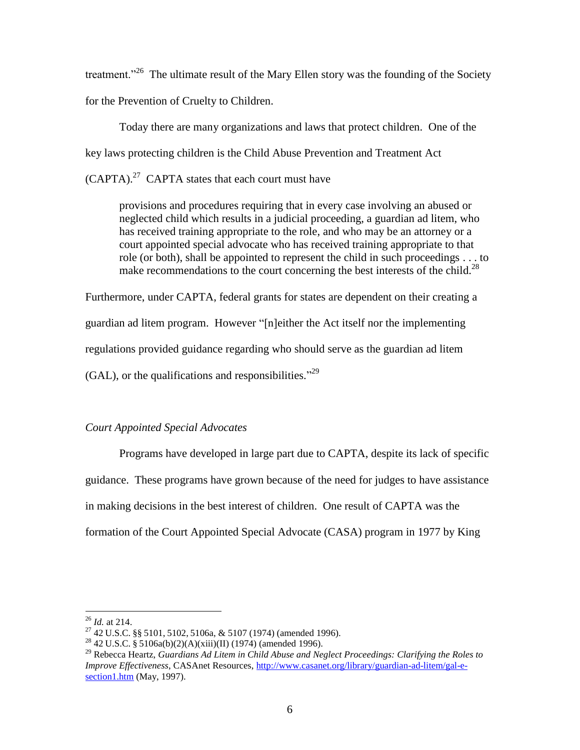treatment.<sup>326</sup> The ultimate result of the Mary Ellen story was the founding of the Society for the Prevention of Cruelty to Children.

Today there are many organizations and laws that protect children. One of the key laws protecting children is the Child Abuse Prevention and Treatment Act  $(CAPTA)^{27}$  CAPTA states that each court must have

provisions and procedures requiring that in every case involving an abused or neglected child which results in a judicial proceeding, a guardian ad litem, who has received training appropriate to the role, and who may be an attorney or a court appointed special advocate who has received training appropriate to that role (or both), shall be appointed to represent the child in such proceedings . . . to make recommendations to the court concerning the best interests of the child.<sup>28</sup>

Furthermore, under CAPTA, federal grants for states are dependent on their creating a guardian ad litem program. However "[n]either the Act itself nor the implementing regulations provided guidance regarding who should serve as the guardian ad litem  $(GAL)$ , or the qualifications and responsibilities.<sup>529</sup>

# *Court Appointed Special Advocates*

Programs have developed in large part due to CAPTA, despite its lack of specific guidance. These programs have grown because of the need for judges to have assistance in making decisions in the best interest of children. One result of CAPTA was the formation of the Court Appointed Special Advocate (CASA) program in 1977 by King

<sup>26</sup> *Id.* at 214.

<sup>27</sup> 42 U.S.C. §§ 5101, 5102, 5106a, & 5107 (1974) (amended 1996).

<sup>&</sup>lt;sup>28</sup> 42 U.S.C. § 5106a(b)(2)(A)(xiii)(II) (1974) (amended 1996).

<sup>29</sup> Rebecca Heartz, *Guardians Ad Litem in Child Abuse and Neglect Proceedings: Clarifying the Roles to Improve Effectiveness*, CASAnet Resources, [http://www.casanet.org/library/guardian-ad-litem/gal-e](http://www.casanet.org/library/guardian-ad-litem/gal-e-section1.htm)[section1.htm](http://www.casanet.org/library/guardian-ad-litem/gal-e-section1.htm) (May, 1997).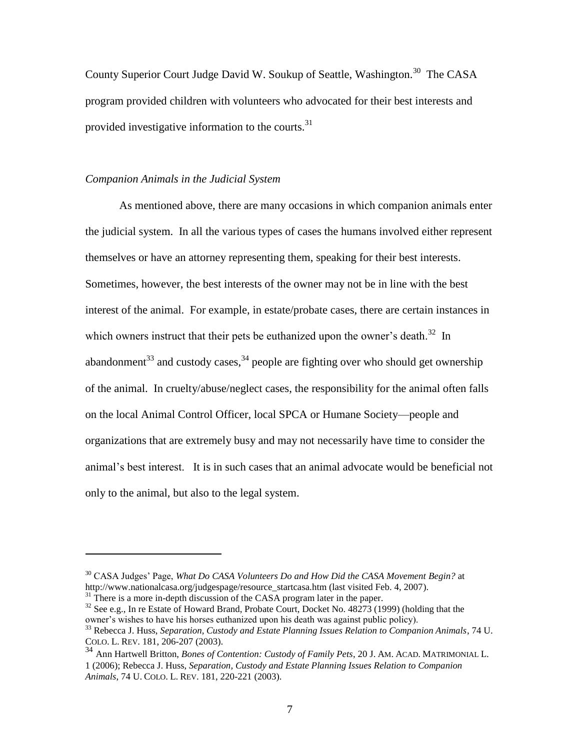County Superior Court Judge David W. Soukup of Seattle, Washington.<sup>30</sup> The CASA program provided children with volunteers who advocated for their best interests and provided investigative information to the courts.  $31$ 

# *Companion Animals in the Judicial System*

As mentioned above, there are many occasions in which companion animals enter the judicial system. In all the various types of cases the humans involved either represent themselves or have an attorney representing them, speaking for their best interests. Sometimes, however, the best interests of the owner may not be in line with the best interest of the animal. For example, in estate/probate cases, there are certain instances in which owners instruct that their pets be euthanized upon the owner's death. $32$  In abandonment<sup>33</sup> and custody cases,  $34$  people are fighting over who should get ownership of the animal. In cruelty/abuse/neglect cases, the responsibility for the animal often falls on the local Animal Control Officer, local SPCA or Humane Society—people and organizations that are extremely busy and may not necessarily have time to consider the animal's best interest. It is in such cases that an animal advocate would be beneficial not only to the animal, but also to the legal system.

<sup>30</sup> CASA Judges' Page, *What Do CASA Volunteers Do and How Did the CASA Movement Begin?* at http://www.nationalcasa.org/judgespage/resource\_startcasa.htm (last visited Feb. 4, 2007).

 $31$ <sup>1</sup> There is a more in-depth discussion of the CASA program later in the paper.

 $32$  See e.g., In re Estate of Howard Brand, Probate Court, Docket No. 48273 (1999) (holding that the owner's wishes to have his horses euthanized upon his death was against public policy).

<sup>33</sup> Rebecca J. Huss, *Separation, Custody and Estate Planning Issues Relation to Companion Animals*, 74 U. COLO. L. REV. 181, 206-207 (2003).

<sup>34</sup> Ann Hartwell Britton, *Bones of Contention: Custody of Family Pets*, 20 J. AM. ACAD. MATRIMONIAL L. 1 (2006); Rebecca J. Huss, *Separation, Custody and Estate Planning Issues Relation to Companion Animals*, 74 U. COLO. L. REV. 181, 220-221 (2003).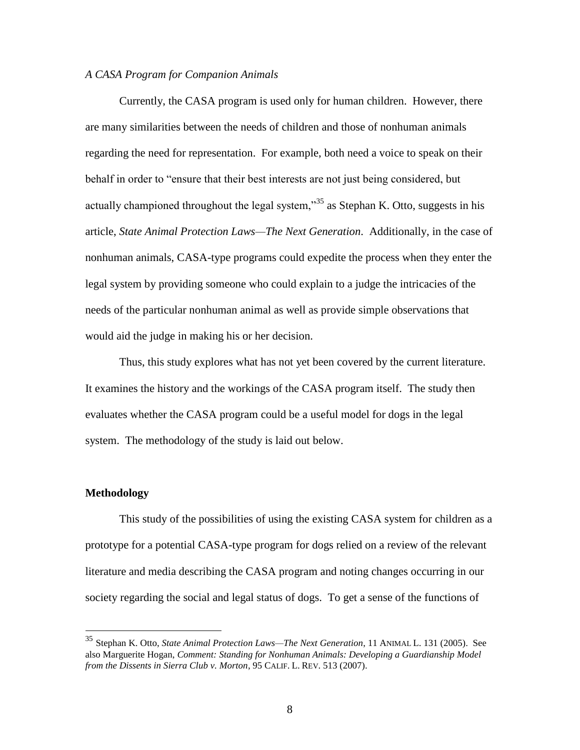### *A CASA Program for Companion Animals*

Currently, the CASA program is used only for human children. However, there are many similarities between the needs of children and those of nonhuman animals regarding the need for representation. For example, both need a voice to speak on their behalf in order to "ensure that their best interests are not just being considered, but actually championed throughout the legal system, $^{35}$  as Stephan K. Otto, suggests in his article, *State Animal Protection Laws—The Next Generation*. Additionally, in the case of nonhuman animals, CASA-type programs could expedite the process when they enter the legal system by providing someone who could explain to a judge the intricacies of the needs of the particular nonhuman animal as well as provide simple observations that would aid the judge in making his or her decision.

Thus, this study explores what has not yet been covered by the current literature. It examines the history and the workings of the CASA program itself. The study then evaluates whether the CASA program could be a useful model for dogs in the legal system. The methodology of the study is laid out below.

#### **Methodology**

 $\overline{a}$ 

This study of the possibilities of using the existing CASA system for children as a prototype for a potential CASA-type program for dogs relied on a review of the relevant literature and media describing the CASA program and noting changes occurring in our society regarding the social and legal status of dogs. To get a sense of the functions of

<sup>35</sup> Stephan K. Otto, *State Animal Protection Laws—The Next Generation*, 11 ANIMAL L. 131 (2005). See also Marguerite Hogan, *Comment: Standing for Nonhuman Animals: Developing a Guardianship Model from the Dissents in Sierra Club v. Morton*, 95 CALIF. L. REV. 513 (2007).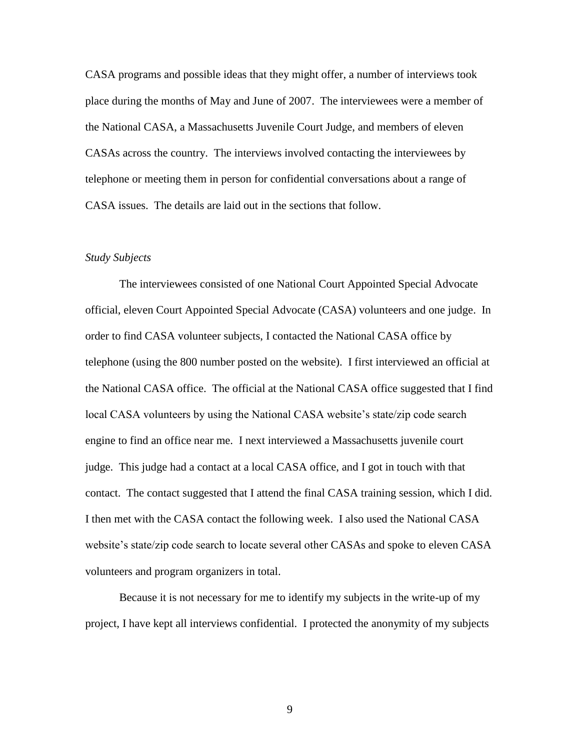CASA programs and possible ideas that they might offer, a number of interviews took place during the months of May and June of 2007. The interviewees were a member of the National CASA, a Massachusetts Juvenile Court Judge, and members of eleven CASAs across the country. The interviews involved contacting the interviewees by telephone or meeting them in person for confidential conversations about a range of CASA issues. The details are laid out in the sections that follow.

#### *Study Subjects*

The interviewees consisted of one National Court Appointed Special Advocate official, eleven Court Appointed Special Advocate (CASA) volunteers and one judge. In order to find CASA volunteer subjects, I contacted the National CASA office by telephone (using the 800 number posted on the website). I first interviewed an official at the National CASA office. The official at the National CASA office suggested that I find local CASA volunteers by using the National CASA website's state/zip code search engine to find an office near me. I next interviewed a Massachusetts juvenile court judge. This judge had a contact at a local CASA office, and I got in touch with that contact. The contact suggested that I attend the final CASA training session, which I did. I then met with the CASA contact the following week. I also used the National CASA website's state/zip code search to locate several other CASAs and spoke to eleven CASA volunteers and program organizers in total.

Because it is not necessary for me to identify my subjects in the write-up of my project, I have kept all interviews confidential. I protected the anonymity of my subjects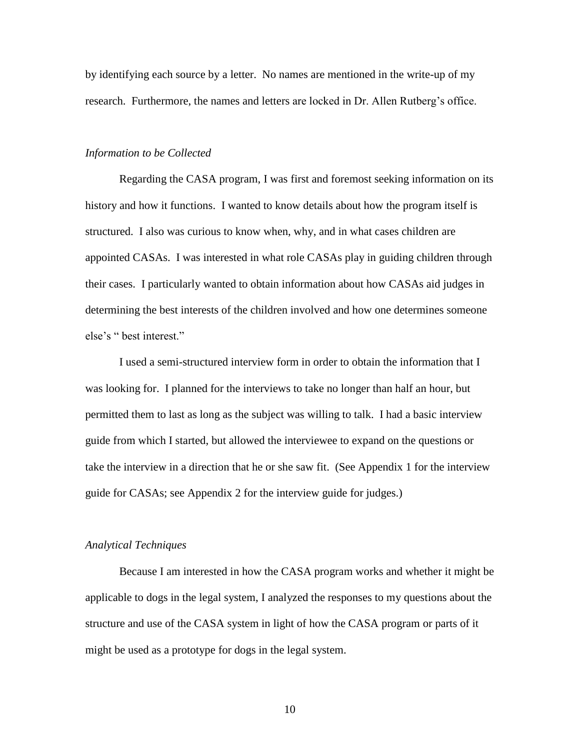by identifying each source by a letter. No names are mentioned in the write-up of my research. Furthermore, the names and letters are locked in Dr. Allen Rutberg's office.

### *Information to be Collected*

Regarding the CASA program, I was first and foremost seeking information on its history and how it functions. I wanted to know details about how the program itself is structured. I also was curious to know when, why, and in what cases children are appointed CASAs. I was interested in what role CASAs play in guiding children through their cases. I particularly wanted to obtain information about how CASAs aid judges in determining the best interests of the children involved and how one determines someone else's " best interest."

I used a semi-structured interview form in order to obtain the information that I was looking for. I planned for the interviews to take no longer than half an hour, but permitted them to last as long as the subject was willing to talk. I had a basic interview guide from which I started, but allowed the interviewee to expand on the questions or take the interview in a direction that he or she saw fit. (See Appendix 1 for the interview guide for CASAs; see Appendix 2 for the interview guide for judges.)

#### *Analytical Techniques*

Because I am interested in how the CASA program works and whether it might be applicable to dogs in the legal system, I analyzed the responses to my questions about the structure and use of the CASA system in light of how the CASA program or parts of it might be used as a prototype for dogs in the legal system.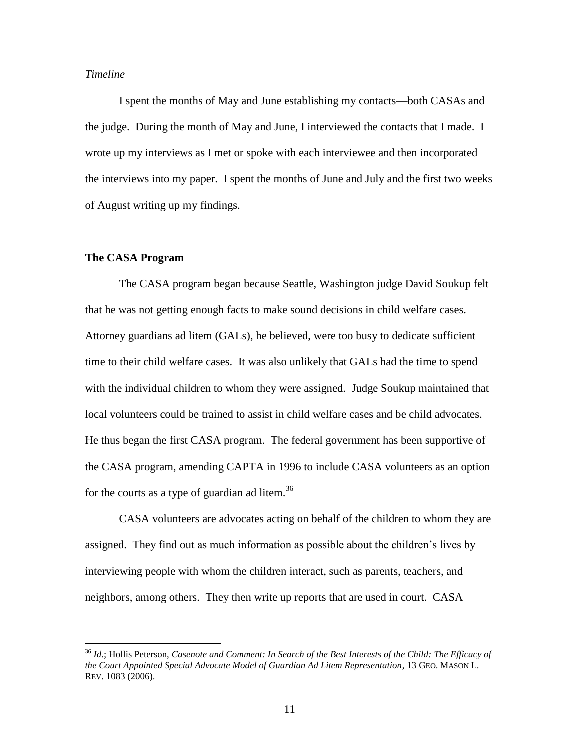# *Timeline*

I spent the months of May and June establishing my contacts—both CASAs and the judge. During the month of May and June, I interviewed the contacts that I made. I wrote up my interviews as I met or spoke with each interviewee and then incorporated the interviews into my paper. I spent the months of June and July and the first two weeks of August writing up my findings.

#### **The CASA Program**

 $\overline{a}$ 

The CASA program began because Seattle, Washington judge David Soukup felt that he was not getting enough facts to make sound decisions in child welfare cases. Attorney guardians ad litem (GALs), he believed, were too busy to dedicate sufficient time to their child welfare cases. It was also unlikely that GALs had the time to spend with the individual children to whom they were assigned. Judge Soukup maintained that local volunteers could be trained to assist in child welfare cases and be child advocates. He thus began the first CASA program. The federal government has been supportive of the CASA program, amending CAPTA in 1996 to include CASA volunteers as an option for the courts as a type of guardian ad litem.<sup>36</sup>

CASA volunteers are advocates acting on behalf of the children to whom they are assigned. They find out as much information as possible about the children's lives by interviewing people with whom the children interact, such as parents, teachers, and neighbors, among others. They then write up reports that are used in court. CASA

<sup>36</sup> *Id*.; Hollis Peterson, *Casenote and Comment: In Search of the Best Interests of the Child: The Efficacy of the Court Appointed Special Advocate Model of Guardian Ad Litem Representation*, 13 GEO. MASON L. REV. 1083 (2006).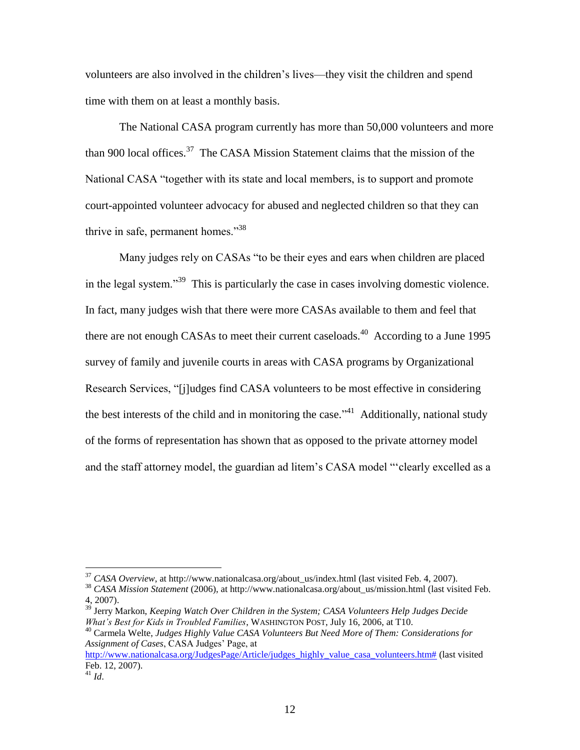volunteers are also involved in the children's lives—they visit the children and spend time with them on at least a monthly basis.

The National CASA program currently has more than 50,000 volunteers and more than 900 local offices.<sup>37</sup> The CASA Mission Statement claims that the mission of the National CASA "together with its state and local members, is to support and promote court-appointed volunteer advocacy for abused and neglected children so that they can thrive in safe, permanent homes. $138$ 

Many judges rely on CASAs "to be their eyes and ears when children are placed in the legal system.<sup>339</sup> This is particularly the case in cases involving domestic violence. In fact, many judges wish that there were more CASAs available to them and feel that there are not enough CASAs to meet their current caseloads.<sup>40</sup> According to a June 1995 survey of family and juvenile courts in areas with CASA programs by Organizational Research Services, "[j]udges find CASA volunteers to be most effective in considering the best interests of the child and in monitoring the case.<sup> $1$ </sup> Additionally, national study of the forms of representation has shown that as opposed to the private attorney model and the staff attorney model, the guardian ad litem's CASA model "'clearly excelled as a

<sup>37</sup> *CASA Overview*, at http://www.nationalcasa.org/about\_us/index.html (last visited Feb. 4, 2007).

<sup>38</sup> *CASA Mission Statement* (2006), at http://www.nationalcasa.org/about\_us/mission.html (last visited Feb. 4, 2007).

<sup>39</sup> Jerry Markon, *Keeping Watch Over Children in the System; CASA Volunteers Help Judges Decide What's Best for Kids in Troubled Families*, WASHINGTON POST, July 16, 2006, at T10.

<sup>40</sup> Carmela Welte, *Judges Highly Value CASA Volunteers But Need More of Them: Considerations for Assignment of Cases*, CASA Judges' Page, at

[http://www.nationalcasa.org/JudgesPage/Article/judges\\_highly\\_value\\_casa\\_volunteers.htm#](http://www.nationalcasa.org/JudgesPage/Article/judges_highly_value_casa_volunteers.htm) (last visited Feb. 12, 2007).

 $^{41}$  *Id.*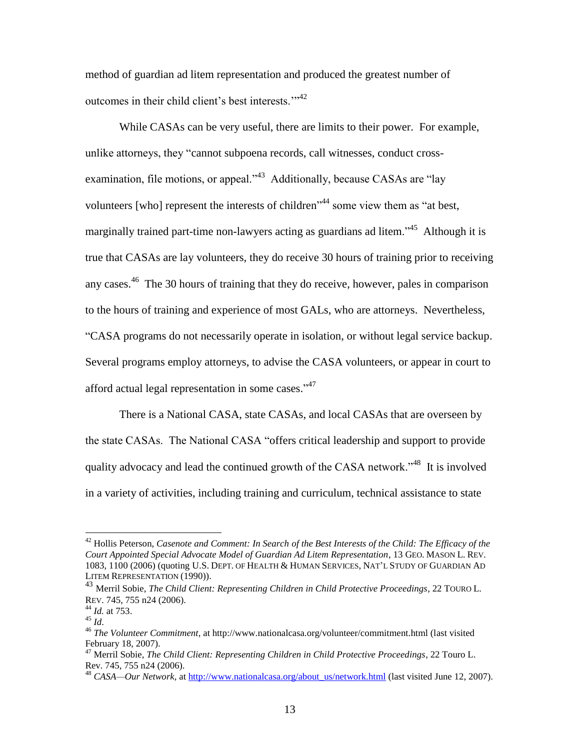method of guardian ad litem representation and produced the greatest number of outcomes in their child client's best interests."<sup>42</sup>

While CASAs can be very useful, there are limits to their power. For example, unlike attorneys, they "cannot subpoena records, call witnesses, conduct crossexamination, file motions, or appeal."<sup>43</sup> Additionally, because CASAs are "lay volunteers [who] represent the interests of children<sup> $344$ </sup> some view them as "at best, marginally trained part-time non-lawyers acting as guardians ad litem."<sup>45</sup> Although it is true that CASAs are lay volunteers, they do receive 30 hours of training prior to receiving any cases.<sup>46</sup> The 30 hours of training that they do receive, however, pales in comparison to the hours of training and experience of most GALs, who are attorneys. Nevertheless, ―CASA programs do not necessarily operate in isolation, or without legal service backup. Several programs employ attorneys, to advise the CASA volunteers, or appear in court to afford actual legal representation in some cases."<sup>47</sup>

There is a National CASA, state CASAs, and local CASAs that are overseen by the state CASAs. The National CASA "offers critical leadership and support to provide quality advocacy and lead the continued growth of the CASA network.<sup> $348$ </sup> It is involved in a variety of activities, including training and curriculum, technical assistance to state

<sup>42</sup> Hollis Peterson, *Casenote and Comment: In Search of the Best Interests of the Child: The Efficacy of the Court Appointed Special Advocate Model of Guardian Ad Litem Representation*, 13 GEO. MASON L. REV. 1083, 1100 (2006) (quoting U.S. DEPT. OF HEALTH & HUMAN SERVICES, NAT'L STUDY OF GUARDIAN AD LITEM REPRESENTATION (1990)).

<sup>43</sup> Merril Sobie, *The Child Client: Representing Children in Child Protective Proceedings*, 22 TOURO L. REV. 745, 755 n24 (2006).

<sup>44</sup> *Id.* at 753.

<sup>45</sup> *Id*.

<sup>46</sup> *The Volunteer Commitment*, at http://www.nationalcasa.org/volunteer/commitment.html (last visited February 18, 2007).

<sup>47</sup> Merril Sobie, *The Child Client: Representing Children in Child Protective Proceedings*, 22 Touro L. Rev. 745, 755 n24 (2006).

<sup>&</sup>lt;sup>48</sup> *CASA—Our Network*, at [http://www.nationalcasa.org/about\\_us/network.html](http://www.nationalcasa.org/about_us/network.html) (last visited June 12, 2007).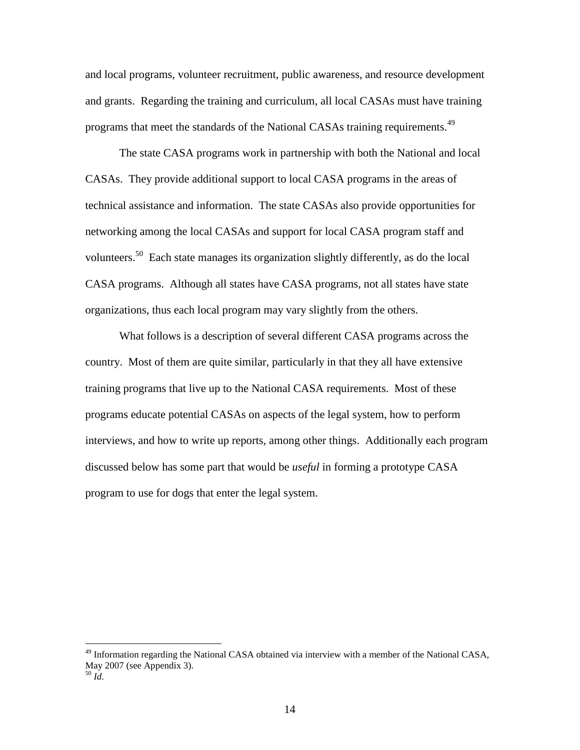and local programs, volunteer recruitment, public awareness, and resource development and grants. Regarding the training and curriculum, all local CASAs must have training programs that meet the standards of the National CASAs training requirements.<sup>49</sup>

The state CASA programs work in partnership with both the National and local CASAs. They provide additional support to local CASA programs in the areas of technical assistance and information. The state CASAs also provide opportunities for networking among the local CASAs and support for local CASA program staff and volunteers.<sup>50</sup> Each state manages its organization slightly differently, as do the local CASA programs. Although all states have CASA programs, not all states have state organizations, thus each local program may vary slightly from the others.

What follows is a description of several different CASA programs across the country. Most of them are quite similar, particularly in that they all have extensive training programs that live up to the National CASA requirements. Most of these programs educate potential CASAs on aspects of the legal system, how to perform interviews, and how to write up reports, among other things. Additionally each program discussed below has some part that would be *useful* in forming a prototype CASA program to use for dogs that enter the legal system.

<sup>&</sup>lt;sup>49</sup> Information regarding the National CASA obtained via interview with a member of the National CASA, May 2007 (see Appendix 3).

 $50 \dot{Id}$ .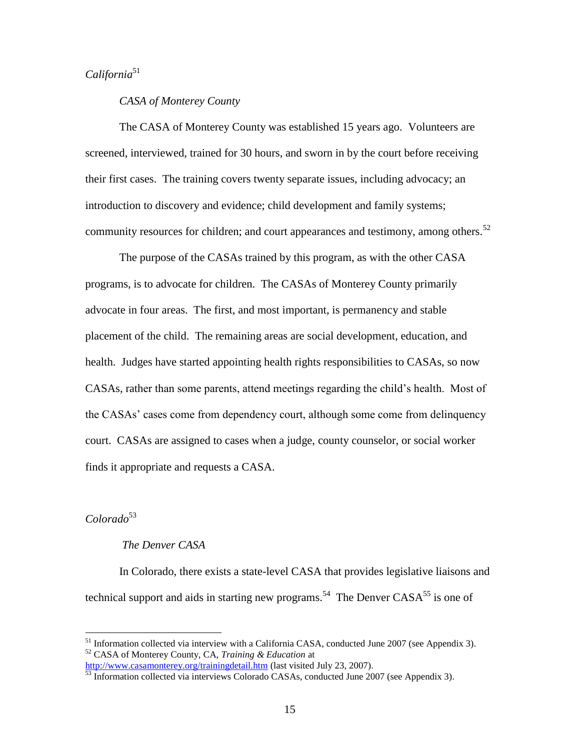# *California*<sup>51</sup>

# *CASA of Monterey County*

The CASA of Monterey County was established 15 years ago. Volunteers are screened, interviewed, trained for 30 hours, and sworn in by the court before receiving their first cases. The training covers twenty separate issues, including advocacy; an introduction to discovery and evidence; child development and family systems; community resources for children; and court appearances and testimony, among others.<sup>52</sup>

The purpose of the CASAs trained by this program, as with the other CASA programs, is to advocate for children. The CASAs of Monterey County primarily advocate in four areas. The first, and most important, is permanency and stable placement of the child. The remaining areas are social development, education, and health. Judges have started appointing health rights responsibilities to CASAs, so now CASAs, rather than some parents, attend meetings regarding the child's health. Most of the CASAs' cases come from dependency court, although some come from delinquency court. CASAs are assigned to cases when a judge, county counselor, or social worker finds it appropriate and requests a CASA.

# *Colorado*<sup>53</sup>

 $\overline{a}$ 

# *The Denver CASA*

In Colorado, there exists a state-level CASA that provides legislative liaisons and technical support and aids in starting new programs.<sup>54</sup> The Denver  $CASA^{55}$  is one of

 $51$  Information collected via interview with a California CASA, conducted June 2007 (see Appendix 3). <sup>52</sup> CASA of Monterey County, CA, *Training & Education* at

<http://www.casamonterey.org/trainingdetail.htm> (last visited July 23, 2007).

 $53$  Information collected via interviews Colorado CASAs, conducted June 2007 (see Appendix 3).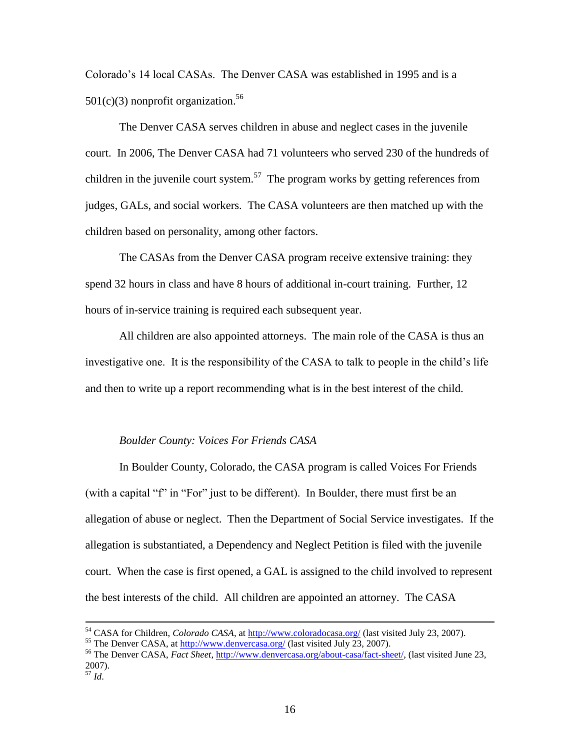Colorado's 14 local CASAs. The Denver CASA was established in 1995 and is a  $501(c)(3)$  nonprofit organization.<sup>56</sup>

The Denver CASA serves children in abuse and neglect cases in the juvenile court. In 2006, The Denver CASA had 71 volunteers who served 230 of the hundreds of children in the juvenile court system.<sup>57</sup> The program works by getting references from judges, GALs, and social workers. The CASA volunteers are then matched up with the children based on personality, among other factors.

The CASAs from the Denver CASA program receive extensive training: they spend 32 hours in class and have 8 hours of additional in-court training. Further, 12 hours of in-service training is required each subsequent year.

All children are also appointed attorneys. The main role of the CASA is thus an investigative one. It is the responsibility of the CASA to talk to people in the child's life and then to write up a report recommending what is in the best interest of the child.

# *Boulder County: Voices For Friends CASA*

In Boulder County, Colorado, the CASA program is called Voices For Friends (with a capital "f" in "For" just to be different). In Boulder, there must first be an allegation of abuse or neglect. Then the Department of Social Service investigates. If the allegation is substantiated, a Dependency and Neglect Petition is filed with the juvenile court. When the case is first opened, a GAL is assigned to the child involved to represent the best interests of the child. All children are appointed an attorney. The CASA

<sup>&</sup>lt;sup>54</sup> CASA for Children, *Colorado CASA*, at<http://www.coloradocasa.org/> (last visited July 23, 2007).

<sup>&</sup>lt;sup>55</sup> The Denver CASA, at<http://www.denvercasa.org/> (last visited July 23, 2007).

<sup>56</sup> The Denver CASA, *Fact Sheet*, [http://www.denvercasa.org/about-casa/fact-sheet/,](http://www.denvercasa.org/about-casa/fact-sheet/) (last visited June 23, 2007). <sup>57</sup> *Id*.

<sup>16</sup>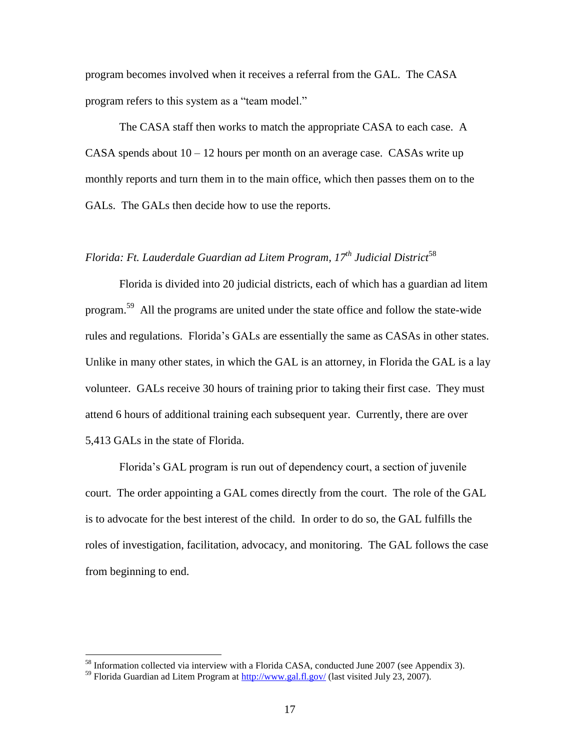program becomes involved when it receives a referral from the GAL. The CASA program refers to this system as a "team model."

The CASA staff then works to match the appropriate CASA to each case. A CASA spends about  $10 - 12$  hours per month on an average case. CASAs write up monthly reports and turn them in to the main office, which then passes them on to the GALs. The GALs then decide how to use the reports.

# *Florida: Ft. Lauderdale Guardian ad Litem Program, 17th Judicial District*<sup>58</sup>

Florida is divided into 20 judicial districts, each of which has a guardian ad litem program.<sup>59</sup> All the programs are united under the state office and follow the state-wide rules and regulations. Florida's GALs are essentially the same as CASAs in other states. Unlike in many other states, in which the GAL is an attorney, in Florida the GAL is a lay volunteer. GALs receive 30 hours of training prior to taking their first case. They must attend 6 hours of additional training each subsequent year. Currently, there are over 5,413 GALs in the state of Florida.

Florida's GAL program is run out of dependency court, a section of juvenile court. The order appointing a GAL comes directly from the court. The role of the GAL is to advocate for the best interest of the child. In order to do so, the GAL fulfills the roles of investigation, facilitation, advocacy, and monitoring. The GAL follows the case from beginning to end.

<sup>&</sup>lt;sup>58</sup> Information collected via interview with a Florida CASA, conducted June 2007 (see Appendix 3).

<sup>&</sup>lt;sup>59</sup> Florida Guardian ad Litem Program at  $\frac{http://www.gal.fl.gov/(last visited July 23, 2007)}{http://www.gal.fl.gov/(last visited July 23, 2007)}$ .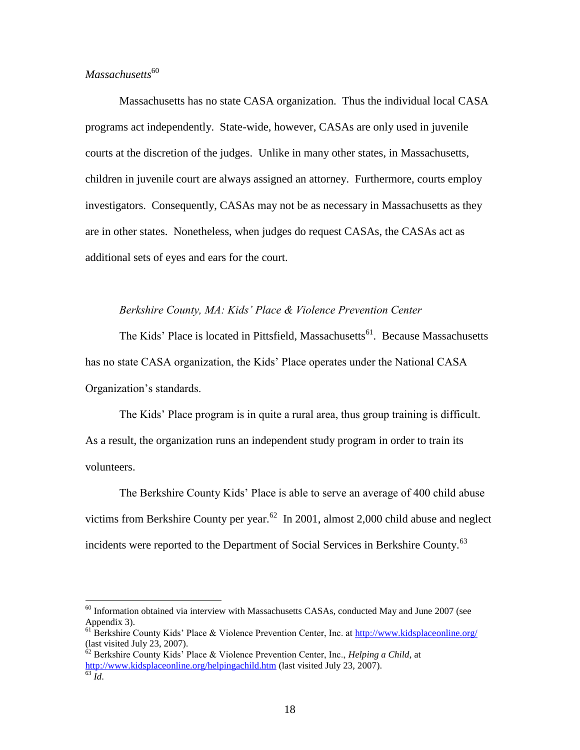# *Massachusetts*<sup>60</sup>

 $\overline{a}$ 

Massachusetts has no state CASA organization. Thus the individual local CASA programs act independently. State-wide, however, CASAs are only used in juvenile courts at the discretion of the judges. Unlike in many other states, in Massachusetts, children in juvenile court are always assigned an attorney. Furthermore, courts employ investigators. Consequently, CASAs may not be as necessary in Massachusetts as they are in other states. Nonetheless, when judges do request CASAs, the CASAs act as additional sets of eyes and ears for the court.

# *Berkshire County, MA: Kids' Place & Violence Prevention Center*

The Kids' Place is located in Pittsfield, Massachusetts<sup>61</sup>. Because Massachusetts has no state CASA organization, the Kids' Place operates under the National CASA Organization's standards.

The Kids' Place program is in quite a rural area, thus group training is difficult. As a result, the organization runs an independent study program in order to train its volunteers.

The Berkshire County Kids' Place is able to serve an average of 400 child abuse victims from Berkshire County per year.<sup>62</sup> In 2001, almost 2,000 child abuse and neglect incidents were reported to the Department of Social Services in Berkshire County.<sup>63</sup>

 $60$  Information obtained via interview with Massachusetts CASAs, conducted May and June 2007 (see Appendix 3).

 $^{61}$ Berkshire County Kids' Place & Violence Prevention Center, Inc. at<http://www.kidsplaceonline.org/> (last visited July 23, 2007).

<sup>62</sup> Berkshire County Kids' Place & Violence Prevention Center, Inc., *Helping a Child*, at <http://www.kidsplaceonline.org/helpingachild.htm> (last visited July 23, 2007). <sup>63</sup> *Id*.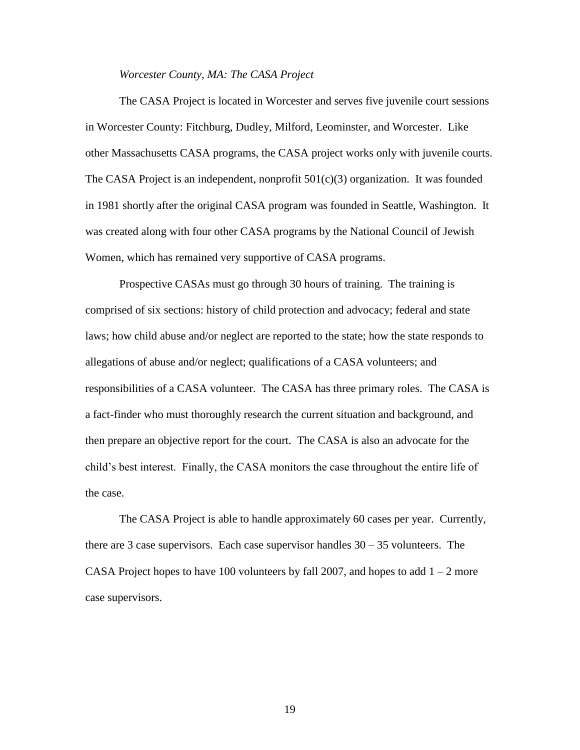#### *Worcester County, MA: The CASA Project*

The CASA Project is located in Worcester and serves five juvenile court sessions in Worcester County: Fitchburg, Dudley, Milford, Leominster, and Worcester. Like other Massachusetts CASA programs, the CASA project works only with juvenile courts. The CASA Project is an independent, nonprofit  $501(c)(3)$  organization. It was founded in 1981 shortly after the original CASA program was founded in Seattle, Washington. It was created along with four other CASA programs by the National Council of Jewish Women, which has remained very supportive of CASA programs.

Prospective CASAs must go through 30 hours of training. The training is comprised of six sections: history of child protection and advocacy; federal and state laws; how child abuse and/or neglect are reported to the state; how the state responds to allegations of abuse and/or neglect; qualifications of a CASA volunteers; and responsibilities of a CASA volunteer. The CASA has three primary roles. The CASA is a fact-finder who must thoroughly research the current situation and background, and then prepare an objective report for the court. The CASA is also an advocate for the child's best interest. Finally, the CASA monitors the case throughout the entire life of the case.

The CASA Project is able to handle approximately 60 cases per year. Currently, there are 3 case supervisors. Each case supervisor handles  $30 - 35$  volunteers. The CASA Project hopes to have 100 volunteers by fall 2007, and hopes to add  $1 - 2$  more case supervisors.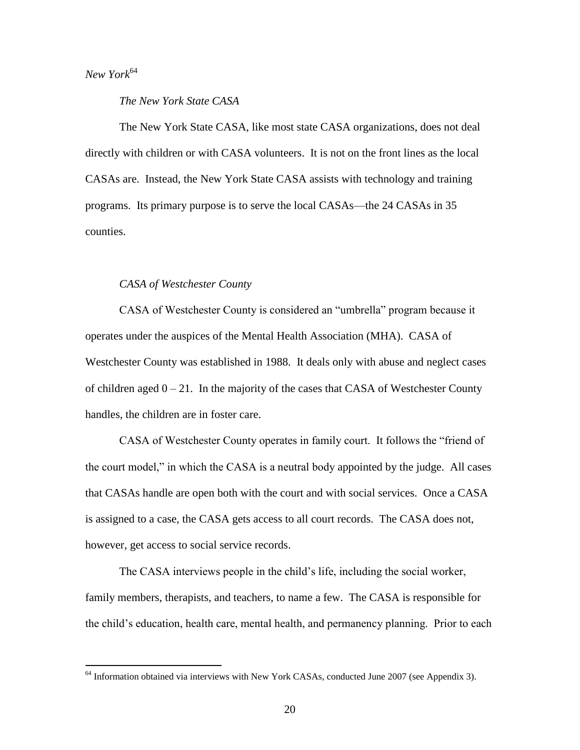*New York*<sup>64</sup>

 $\overline{a}$ 

*The New York State CASA*

The New York State CASA, like most state CASA organizations, does not deal directly with children or with CASA volunteers. It is not on the front lines as the local CASAs are. Instead, the New York State CASA assists with technology and training programs. Its primary purpose is to serve the local CASAs—the 24 CASAs in 35 counties.

# *CASA of Westchester County*

CASA of Westchester County is considered an "umbrella" program because it operates under the auspices of the Mental Health Association (MHA). CASA of Westchester County was established in 1988. It deals only with abuse and neglect cases of children aged  $0 - 21$ . In the majority of the cases that CASA of Westchester County handles, the children are in foster care.

CASA of Westchester County operates in family court. It follows the "friend of the court model," in which the CASA is a neutral body appointed by the judge. All cases that CASAs handle are open both with the court and with social services. Once a CASA is assigned to a case, the CASA gets access to all court records. The CASA does not, however, get access to social service records.

The CASA interviews people in the child's life, including the social worker, family members, therapists, and teachers, to name a few. The CASA is responsible for the child's education, health care, mental health, and permanency planning. Prior to each

<sup>&</sup>lt;sup>64</sup> Information obtained via interviews with New York CASAs, conducted June 2007 (see Appendix 3).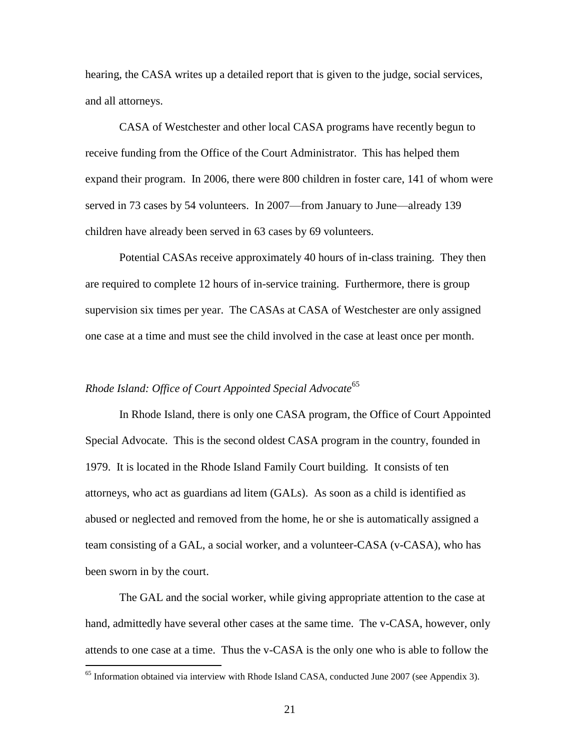hearing, the CASA writes up a detailed report that is given to the judge, social services, and all attorneys.

CASA of Westchester and other local CASA programs have recently begun to receive funding from the Office of the Court Administrator. This has helped them expand their program. In 2006, there were 800 children in foster care, 141 of whom were served in 73 cases by 54 volunteers. In 2007—from January to June—already 139 children have already been served in 63 cases by 69 volunteers.

Potential CASAs receive approximately 40 hours of in-class training. They then are required to complete 12 hours of in-service training. Furthermore, there is group supervision six times per year. The CASAs at CASA of Westchester are only assigned one case at a time and must see the child involved in the case at least once per month.

# *Rhode Island: Office of Court Appointed Special Advocate*<sup>65</sup>

 $\overline{a}$ 

In Rhode Island, there is only one CASA program, the Office of Court Appointed Special Advocate. This is the second oldest CASA program in the country, founded in 1979. It is located in the Rhode Island Family Court building. It consists of ten attorneys, who act as guardians ad litem (GALs). As soon as a child is identified as abused or neglected and removed from the home, he or she is automatically assigned a team consisting of a GAL, a social worker, and a volunteer-CASA (v-CASA), who has been sworn in by the court.

The GAL and the social worker, while giving appropriate attention to the case at hand, admittedly have several other cases at the same time. The v-CASA, however, only attends to one case at a time. Thus the v-CASA is the only one who is able to follow the

<sup>&</sup>lt;sup>65</sup> Information obtained via interview with Rhode Island CASA, conducted June 2007 (see Appendix 3).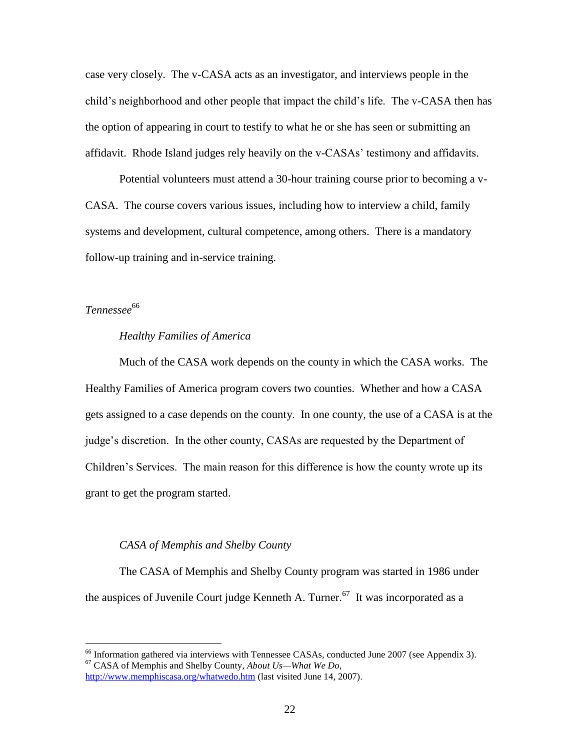case very closely. The v-CASA acts as an investigator, and interviews people in the child's neighborhood and other people that impact the child's life. The v-CASA then has the option of appearing in court to testify to what he or she has seen or submitting an affidavit. Rhode Island judges rely heavily on the v-CASAs' testimony and affidavits.

Potential volunteers must attend a 30-hour training course prior to becoming a v-CASA. The course covers various issues, including how to interview a child, family systems and development, cultural competence, among others. There is a mandatory follow-up training and in-service training.

 $T$ ennessee<sup>66</sup>

 $\overline{a}$ 

# *Healthy Families of America*

Much of the CASA work depends on the county in which the CASA works. The Healthy Families of America program covers two counties. Whether and how a CASA gets assigned to a case depends on the county. In one county, the use of a CASA is at the judge's discretion. In the other county, CASAs are requested by the Department of Children's Services. The main reason for this difference is how the county wrote up its grant to get the program started.

# *CASA of Memphis and Shelby County*

The CASA of Memphis and Shelby County program was started in 1986 under the auspices of Juvenile Court judge Kenneth A. Turner.<sup>67</sup> It was incorporated as a

<sup>&</sup>lt;sup>66</sup> Information gathered via interviews with Tennessee CASAs, conducted June 2007 (see Appendix 3). <sup>67</sup> CASA of Memphis and Shelby County, *About Us—What We Do*,

<http://www.memphiscasa.org/whatwedo.htm> (last visited June 14, 2007).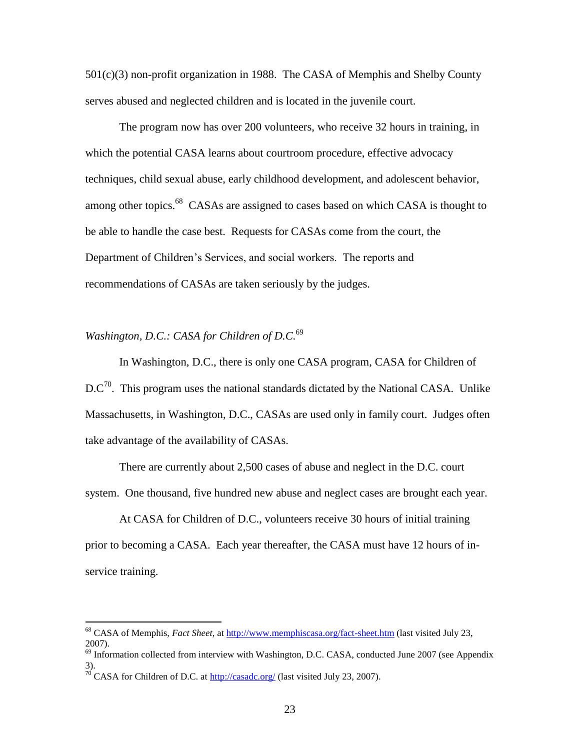501(c)(3) non-profit organization in 1988. The CASA of Memphis and Shelby County serves abused and neglected children and is located in the juvenile court.

The program now has over 200 volunteers, who receive 32 hours in training, in which the potential CASA learns about courtroom procedure, effective advocacy techniques, child sexual abuse, early childhood development, and adolescent behavior, among other topics.<sup>68</sup> CASAs are assigned to cases based on which CASA is thought to be able to handle the case best. Requests for CASAs come from the court, the Department of Children's Services, and social workers. The reports and recommendations of CASAs are taken seriously by the judges.

# *Washington, D.C.: CASA for Children of D.C.*<sup>69</sup>

In Washington, D.C., there is only one CASA program, CASA for Children of  $DC^{70}$ . This program uses the national standards dictated by the National CASA. Unlike Massachusetts, in Washington, D.C., CASAs are used only in family court. Judges often take advantage of the availability of CASAs.

There are currently about 2,500 cases of abuse and neglect in the D.C. court system. One thousand, five hundred new abuse and neglect cases are brought each year.

At CASA for Children of D.C., volunteers receive 30 hours of initial training prior to becoming a CASA. Each year thereafter, the CASA must have 12 hours of inservice training.

<sup>68</sup> CASA of Memphis, *Fact Sheet*, at<http://www.memphiscasa.org/fact-sheet.htm> (last visited July 23, 2007).

<sup>&</sup>lt;sup>69</sup> Information collected from interview with Washington, D.C. CASA, conducted June 2007 (see Appendix 3).

<sup>&</sup>lt;sup>70</sup> CASA for Children of D.C. at  $\frac{http://casadc.org/}{http://casadc.org/}$  (last visited July 23, 2007).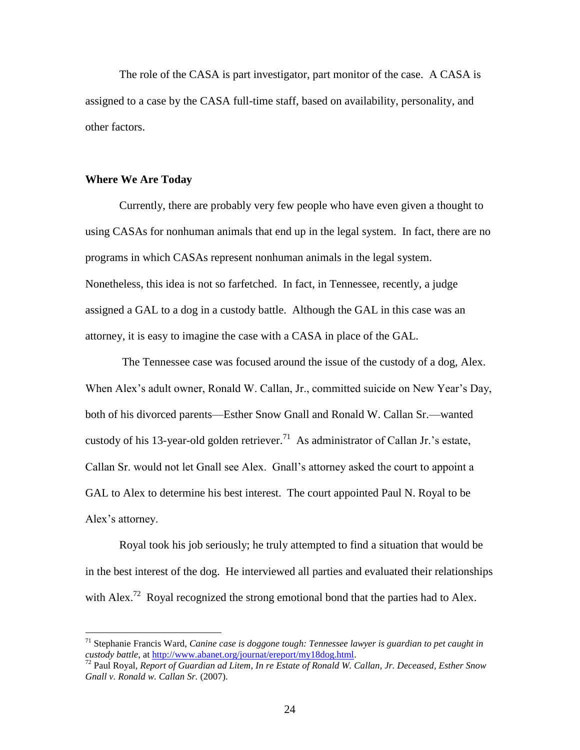The role of the CASA is part investigator, part monitor of the case. A CASA is assigned to a case by the CASA full-time staff, based on availability, personality, and other factors.

#### **Where We Are Today**

 $\overline{a}$ 

Currently, there are probably very few people who have even given a thought to using CASAs for nonhuman animals that end up in the legal system. In fact, there are no programs in which CASAs represent nonhuman animals in the legal system. Nonetheless, this idea is not so farfetched. In fact, in Tennessee, recently, a judge assigned a GAL to a dog in a custody battle. Although the GAL in this case was an attorney, it is easy to imagine the case with a CASA in place of the GAL.

The Tennessee case was focused around the issue of the custody of a dog, Alex. When Alex's adult owner, Ronald W. Callan, Jr., committed suicide on New Year's Day, both of his divorced parents—Esther Snow Gnall and Ronald W. Callan Sr.—wanted custody of his 13-year-old golden retriever.<sup>71</sup> As administrator of Callan Jr.'s estate, Callan Sr. would not let Gnall see Alex. Gnall's attorney asked the court to appoint a GAL to Alex to determine his best interest. The court appointed Paul N. Royal to be Alex's attorney.

Royal took his job seriously; he truly attempted to find a situation that would be in the best interest of the dog. He interviewed all parties and evaluated their relationships with Alex.<sup>72</sup> Royal recognized the strong emotional bond that the parties had to Alex.

<sup>71</sup> Stephanie Francis Ward, *Canine case is doggone tough: Tennessee lawyer is guardian to pet caught in custody battle*, a[t http://www.abanet.org/journat/ereport/my18dog.html.](http://www.abanet.org/journat/ereport/my18dog.html)

<sup>72</sup> Paul Royal, *Report of Guardian ad Litem*, *In re Estate of Ronald W. Callan, Jr. Deceased, Esther Snow Gnall v. Ronald w. Callan Sr.* (2007).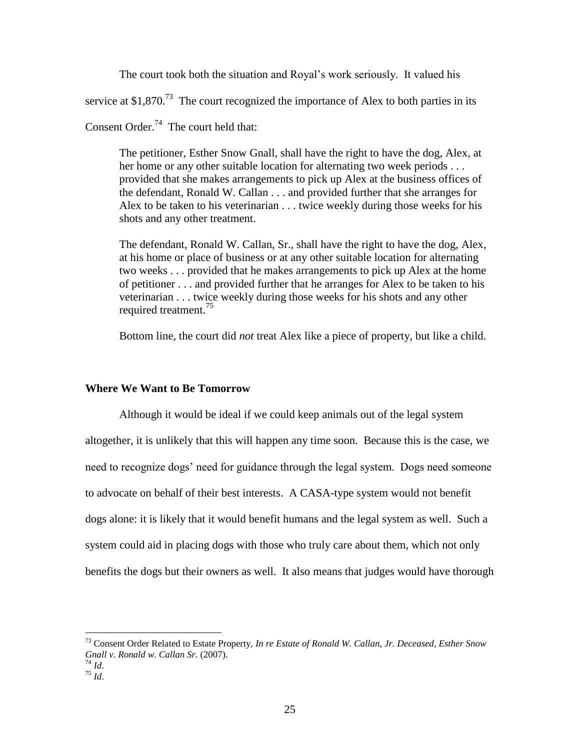The court took both the situation and Royal's work seriously. It valued his

service at \$1,870.<sup>73</sup> The court recognized the importance of Alex to both parties in its

Consent Order. $74$  The court held that:

The petitioner, Esther Snow Gnall, shall have the right to have the dog, Alex, at her home or any other suitable location for alternating two week periods . . . provided that she makes arrangements to pick up Alex at the business offices of the defendant, Ronald W. Callan . . . and provided further that she arranges for Alex to be taken to his veterinarian . . . twice weekly during those weeks for his shots and any other treatment.

The defendant, Ronald W. Callan, Sr., shall have the right to have the dog, Alex, at his home or place of business or at any other suitable location for alternating two weeks . . . provided that he makes arrangements to pick up Alex at the home of petitioner . . . and provided further that he arranges for Alex to be taken to his veterinarian . . . twice weekly during those weeks for his shots and any other required treatment.<sup>75</sup>

Bottom line, the court did *not* treat Alex like a piece of property, but like a child.

# **Where We Want to Be Tomorrow**

Although it would be ideal if we could keep animals out of the legal system altogether, it is unlikely that this will happen any time soon. Because this is the case, we need to recognize dogs' need for guidance through the legal system. Dogs need someone to advocate on behalf of their best interests. A CASA-type system would not benefit dogs alone: it is likely that it would benefit humans and the legal system as well. Such a system could aid in placing dogs with those who truly care about them, which not only benefits the dogs but their owners as well. It also means that judges would have thorough

<sup>73</sup> Consent Order Related to Estate Property, *In re Estate of Ronald W. Callan, Jr. Deceased, Esther Snow Gnall v. Ronald w. Callan Sr.* (2007).

<sup>74</sup> *Id*.

 $^{75}$  *Id.*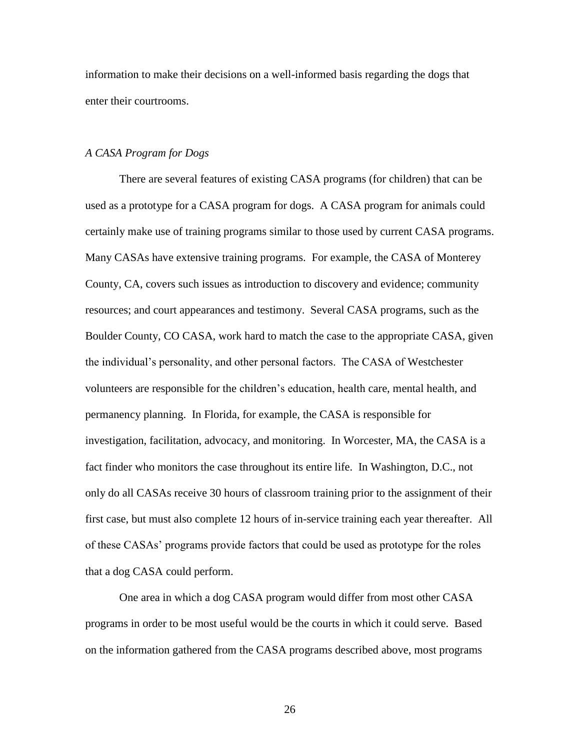information to make their decisions on a well-informed basis regarding the dogs that enter their courtrooms.

# *A CASA Program for Dogs*

There are several features of existing CASA programs (for children) that can be used as a prototype for a CASA program for dogs. A CASA program for animals could certainly make use of training programs similar to those used by current CASA programs. Many CASAs have extensive training programs. For example, the CASA of Monterey County, CA, covers such issues as introduction to discovery and evidence; community resources; and court appearances and testimony. Several CASA programs, such as the Boulder County, CO CASA, work hard to match the case to the appropriate CASA, given the individual's personality, and other personal factors. The CASA of Westchester volunteers are responsible for the children's education, health care, mental health, and permanency planning. In Florida, for example, the CASA is responsible for investigation, facilitation, advocacy, and monitoring. In Worcester, MA, the CASA is a fact finder who monitors the case throughout its entire life. In Washington, D.C., not only do all CASAs receive 30 hours of classroom training prior to the assignment of their first case, but must also complete 12 hours of in-service training each year thereafter. All of these CASAs' programs provide factors that could be used as prototype for the roles that a dog CASA could perform.

One area in which a dog CASA program would differ from most other CASA programs in order to be most useful would be the courts in which it could serve. Based on the information gathered from the CASA programs described above, most programs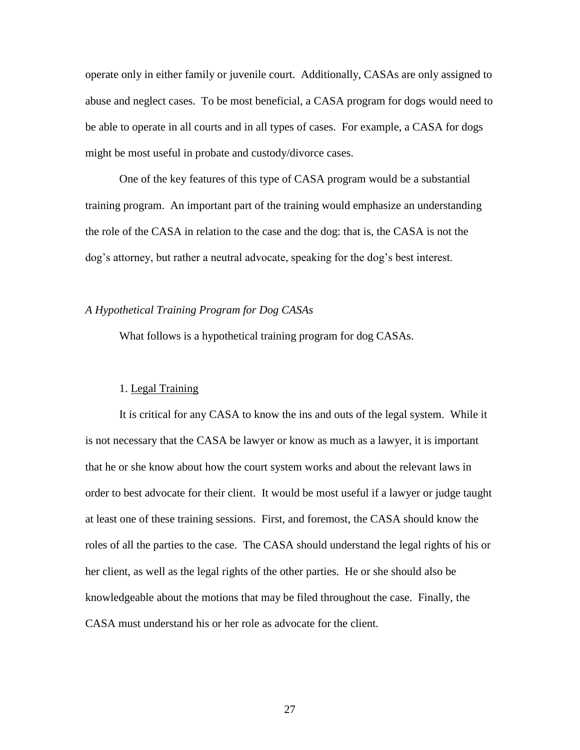operate only in either family or juvenile court. Additionally, CASAs are only assigned to abuse and neglect cases. To be most beneficial, a CASA program for dogs would need to be able to operate in all courts and in all types of cases. For example, a CASA for dogs might be most useful in probate and custody/divorce cases.

One of the key features of this type of CASA program would be a substantial training program. An important part of the training would emphasize an understanding the role of the CASA in relation to the case and the dog: that is, the CASA is not the dog's attorney, but rather a neutral advocate, speaking for the dog's best interest.

# *A Hypothetical Training Program for Dog CASAs*

What follows is a hypothetical training program for dog CASAs.

### 1. Legal Training

It is critical for any CASA to know the ins and outs of the legal system. While it is not necessary that the CASA be lawyer or know as much as a lawyer, it is important that he or she know about how the court system works and about the relevant laws in order to best advocate for their client. It would be most useful if a lawyer or judge taught at least one of these training sessions. First, and foremost, the CASA should know the roles of all the parties to the case. The CASA should understand the legal rights of his or her client, as well as the legal rights of the other parties. He or she should also be knowledgeable about the motions that may be filed throughout the case. Finally, the CASA must understand his or her role as advocate for the client.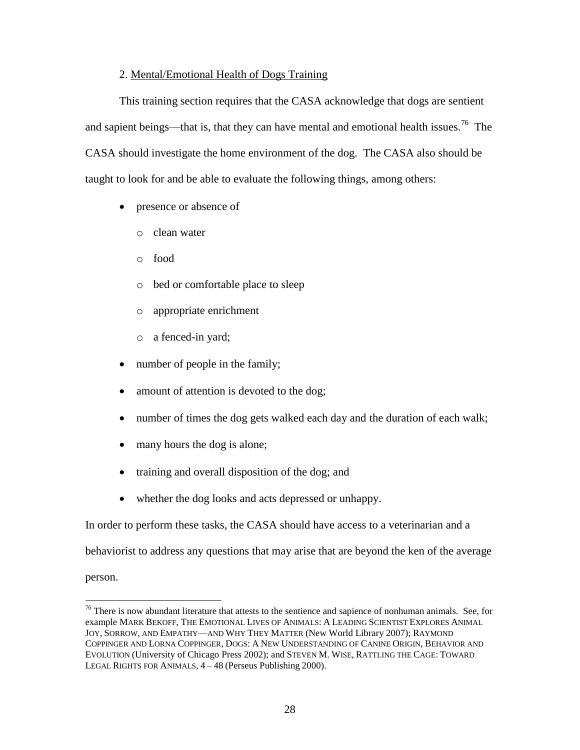# 2. Mental/Emotional Health of Dogs Training

This training section requires that the CASA acknowledge that dogs are sentient and sapient beings—that is, that they can have mental and emotional health issues.<sup>76</sup> The CASA should investigate the home environment of the dog. The CASA also should be taught to look for and be able to evaluate the following things, among others:

- presence or absence of
	- o clean water
	- o food
	- o bed or comfortable place to sleep
	- o appropriate enrichment
	- o a fenced-in yard;
- number of people in the family;
- amount of attention is devoted to the dog;
- number of times the dog gets walked each day and the duration of each walk;
- many hours the dog is alone;
- training and overall disposition of the dog; and
- whether the dog looks and acts depressed or unhappy.

In order to perform these tasks, the CASA should have access to a veterinarian and a

behaviorist to address any questions that may arise that are beyond the ken of the average

person.

<sup>&</sup>lt;sup>76</sup> There is now abundant literature that attests to the sentience and sapience of nonhuman animals. See, for example MARK BEKOFF, THE EMOTIONAL LIVES OF ANIMALS: A LEADING SCIENTIST EXPLORES ANIMAL JOY, SORROW, AND EMPATHY—AND WHY THEY MATTER (New World Library 2007); RAYMOND COPPINGER AND LORNA COPPINGER, DOGS: A NEW UNDERSTANDING OF CANINE ORIGIN, BEHAVIOR AND EVOLUTION (University of Chicago Press 2002); and STEVEN M. WISE, RATTLING THE CAGE: TOWARD LEGAL RIGHTS FOR ANIMALS, 4 – 48 (Perseus Publishing 2000).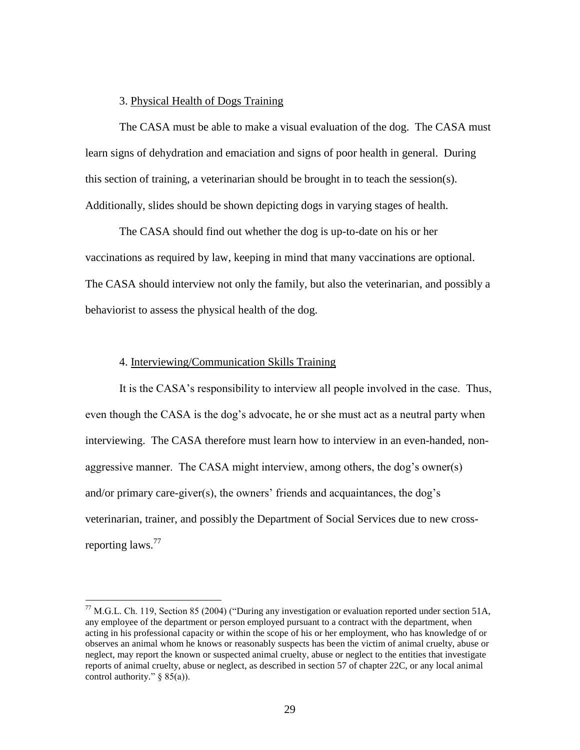### 3. Physical Health of Dogs Training

The CASA must be able to make a visual evaluation of the dog. The CASA must learn signs of dehydration and emaciation and signs of poor health in general. During this section of training, a veterinarian should be brought in to teach the session(s). Additionally, slides should be shown depicting dogs in varying stages of health.

The CASA should find out whether the dog is up-to-date on his or her vaccinations as required by law, keeping in mind that many vaccinations are optional. The CASA should interview not only the family, but also the veterinarian, and possibly a behaviorist to assess the physical health of the dog.

### 4. Interviewing/Communication Skills Training

 $\overline{a}$ 

It is the CASA's responsibility to interview all people involved in the case. Thus, even though the CASA is the dog's advocate, he or she must act as a neutral party when interviewing. The CASA therefore must learn how to interview in an even-handed, nonaggressive manner. The CASA might interview, among others, the dog's owner(s) and/or primary care-giver(s), the owners' friends and acquaintances, the dog's veterinarian, trainer, and possibly the Department of Social Services due to new crossreporting laws.<sup>77</sup>

 $^{77}$  M.G.L. Ch. 119, Section 85 (2004) ("During any investigation or evaluation reported under section 51A, any employee of the department or person employed pursuant to a contract with the department, when acting in his professional capacity or within the scope of his or her employment, who has knowledge of or observes an animal whom he knows or reasonably suspects has been the victim of animal cruelty, abuse or neglect, may report the known or suspected animal cruelty, abuse or neglect to the entities that investigate reports of animal cruelty, abuse or neglect, as described in section 57 of chapter 22C, or any local animal control authority."  $\S$  85(a)).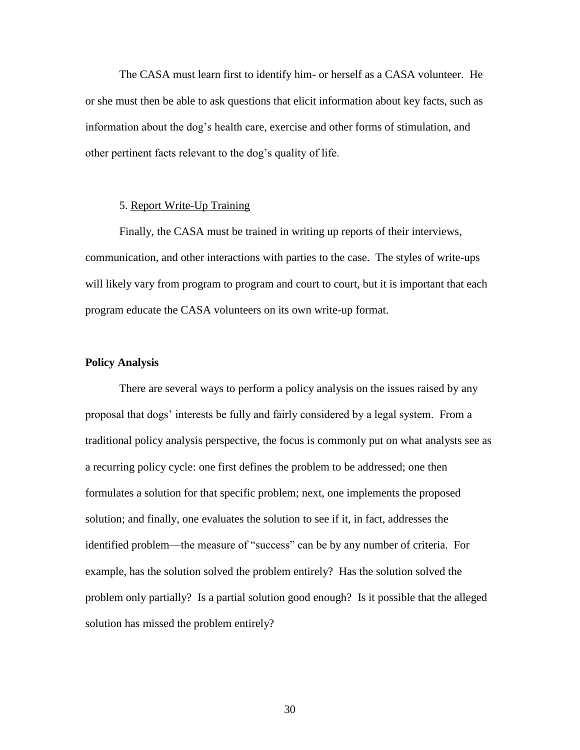The CASA must learn first to identify him- or herself as a CASA volunteer. He or she must then be able to ask questions that elicit information about key facts, such as information about the dog's health care, exercise and other forms of stimulation, and other pertinent facts relevant to the dog's quality of life.

# 5. Report Write-Up Training

Finally, the CASA must be trained in writing up reports of their interviews, communication, and other interactions with parties to the case. The styles of write-ups will likely vary from program to program and court to court, but it is important that each program educate the CASA volunteers on its own write-up format.

#### **Policy Analysis**

There are several ways to perform a policy analysis on the issues raised by any proposal that dogs' interests be fully and fairly considered by a legal system. From a traditional policy analysis perspective, the focus is commonly put on what analysts see as a recurring policy cycle: one first defines the problem to be addressed; one then formulates a solution for that specific problem; next, one implements the proposed solution; and finally, one evaluates the solution to see if it, in fact, addresses the identified problem—the measure of "success" can be by any number of criteria. For example, has the solution solved the problem entirely? Has the solution solved the problem only partially? Is a partial solution good enough? Is it possible that the alleged solution has missed the problem entirely?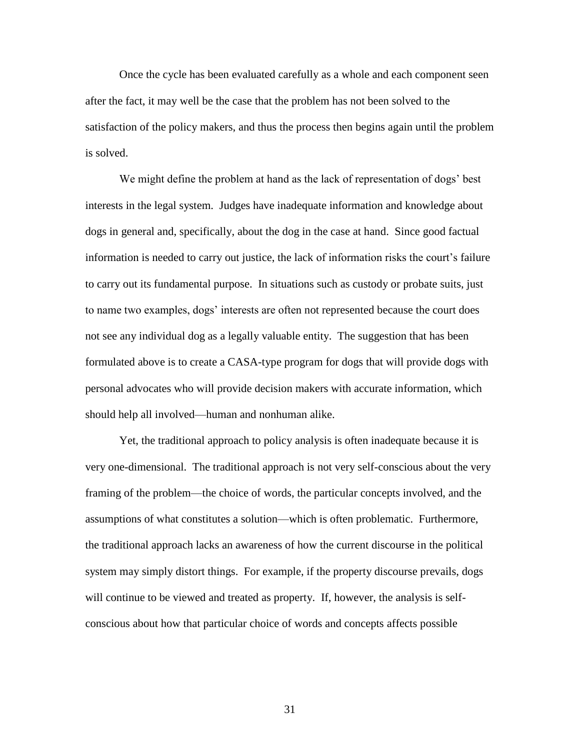Once the cycle has been evaluated carefully as a whole and each component seen after the fact, it may well be the case that the problem has not been solved to the satisfaction of the policy makers, and thus the process then begins again until the problem is solved.

We might define the problem at hand as the lack of representation of dogs' best interests in the legal system. Judges have inadequate information and knowledge about dogs in general and, specifically, about the dog in the case at hand. Since good factual information is needed to carry out justice, the lack of information risks the court's failure to carry out its fundamental purpose. In situations such as custody or probate suits, just to name two examples, dogs' interests are often not represented because the court does not see any individual dog as a legally valuable entity. The suggestion that has been formulated above is to create a CASA-type program for dogs that will provide dogs with personal advocates who will provide decision makers with accurate information, which should help all involved—human and nonhuman alike.

Yet, the traditional approach to policy analysis is often inadequate because it is very one-dimensional. The traditional approach is not very self-conscious about the very framing of the problem—the choice of words, the particular concepts involved, and the assumptions of what constitutes a solution—which is often problematic. Furthermore, the traditional approach lacks an awareness of how the current discourse in the political system may simply distort things. For example, if the property discourse prevails, dogs will continue to be viewed and treated as property. If, however, the analysis is selfconscious about how that particular choice of words and concepts affects possible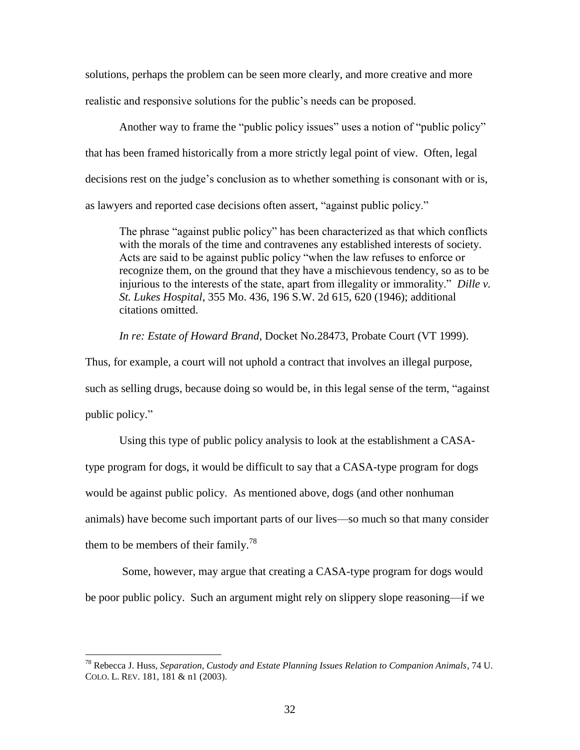solutions, perhaps the problem can be seen more clearly, and more creative and more realistic and responsive solutions for the public's needs can be proposed.

Another way to frame the "public policy issues" uses a notion of "public policy" that has been framed historically from a more strictly legal point of view. Often, legal decisions rest on the judge's conclusion as to whether something is consonant with or is, as lawyers and reported case decisions often assert, "against public policy."

The phrase "against public policy" has been characterized as that which conflicts with the morals of the time and contravenes any established interests of society. Acts are said to be against public policy "when the law refuses to enforce or recognize them, on the ground that they have a mischievous tendency, so as to be injurious to the interests of the state, apart from illegality or immorality." *Dille v. St. Lukes Hospital*, 355 Mo. 436, 196 S.W. 2d 615, 620 (1946); additional citations omitted.

*In re: Estate of Howard Brand*, Docket No.28473, Probate Court (VT 1999).

Thus, for example, a court will not uphold a contract that involves an illegal purpose, such as selling drugs, because doing so would be, in this legal sense of the term, "against" public policy."

Using this type of public policy analysis to look at the establishment a CASAtype program for dogs, it would be difficult to say that a CASA-type program for dogs would be against public policy. As mentioned above, dogs (and other nonhuman animals) have become such important parts of our lives—so much so that many consider them to be members of their family.<sup>78</sup>

Some, however, may argue that creating a CASA-type program for dogs would be poor public policy. Such an argument might rely on slippery slope reasoning—if we

<sup>78</sup> Rebecca J. Huss, *Separation, Custody and Estate Planning Issues Relation to Companion Animals*, 74 U. COLO. L. REV. 181, 181 & n1 (2003).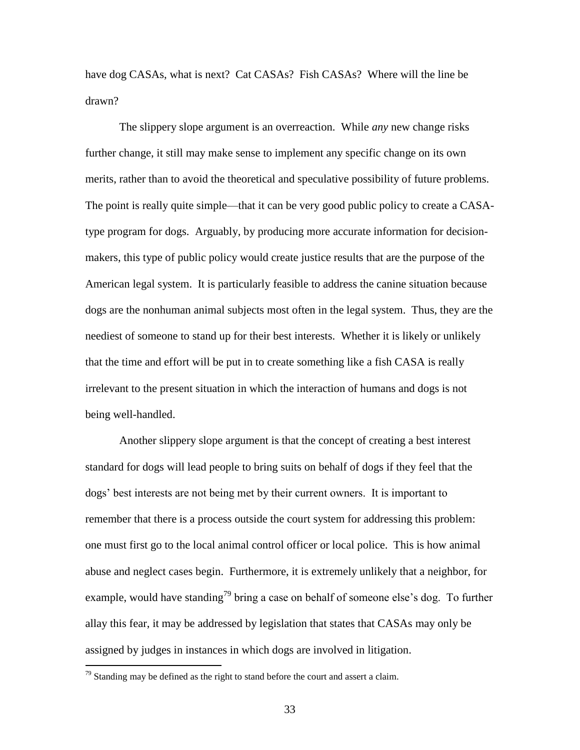have dog CASAs, what is next? Cat CASAs? Fish CASAs? Where will the line be drawn?

The slippery slope argument is an overreaction. While *any* new change risks further change, it still may make sense to implement any specific change on its own merits, rather than to avoid the theoretical and speculative possibility of future problems. The point is really quite simple—that it can be very good public policy to create a CASAtype program for dogs. Arguably, by producing more accurate information for decisionmakers, this type of public policy would create justice results that are the purpose of the American legal system. It is particularly feasible to address the canine situation because dogs are the nonhuman animal subjects most often in the legal system. Thus, they are the neediest of someone to stand up for their best interests. Whether it is likely or unlikely that the time and effort will be put in to create something like a fish CASA is really irrelevant to the present situation in which the interaction of humans and dogs is not being well-handled.

Another slippery slope argument is that the concept of creating a best interest standard for dogs will lead people to bring suits on behalf of dogs if they feel that the dogs' best interests are not being met by their current owners. It is important to remember that there is a process outside the court system for addressing this problem: one must first go to the local animal control officer or local police. This is how animal abuse and neglect cases begin. Furthermore, it is extremely unlikely that a neighbor, for example, would have standing<sup>79</sup> bring a case on behalf of someone else's dog. To further allay this fear, it may be addressed by legislation that states that CASAs may only be assigned by judges in instances in which dogs are involved in litigation.

 $79$  Standing may be defined as the right to stand before the court and assert a claim.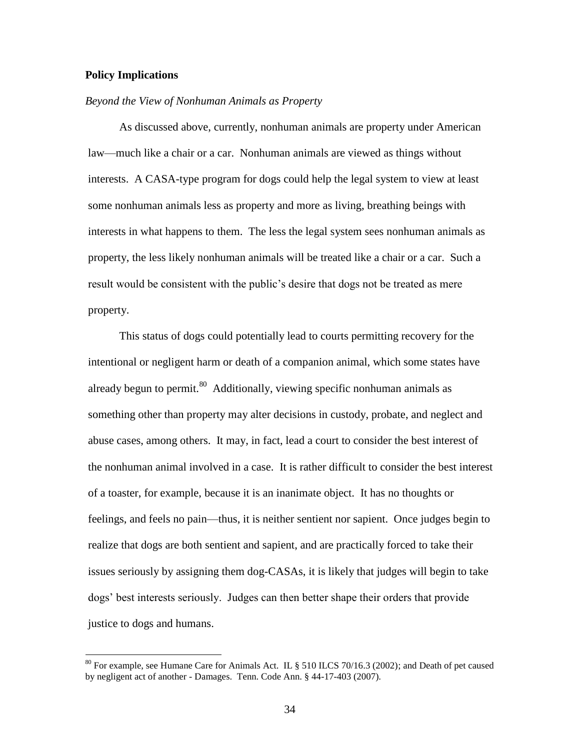# **Policy Implications**

 $\overline{a}$ 

# *Beyond the View of Nonhuman Animals as Property*

As discussed above, currently, nonhuman animals are property under American law—much like a chair or a car. Nonhuman animals are viewed as things without interests. A CASA-type program for dogs could help the legal system to view at least some nonhuman animals less as property and more as living, breathing beings with interests in what happens to them. The less the legal system sees nonhuman animals as property, the less likely nonhuman animals will be treated like a chair or a car. Such a result would be consistent with the public's desire that dogs not be treated as mere property.

This status of dogs could potentially lead to courts permitting recovery for the intentional or negligent harm or death of a companion animal, which some states have already begun to permit.<sup>80</sup> Additionally, viewing specific nonhuman animals as something other than property may alter decisions in custody, probate, and neglect and abuse cases, among others. It may, in fact, lead a court to consider the best interest of the nonhuman animal involved in a case. It is rather difficult to consider the best interest of a toaster, for example, because it is an inanimate object. It has no thoughts or feelings, and feels no pain—thus, it is neither sentient nor sapient. Once judges begin to realize that dogs are both sentient and sapient, and are practically forced to take their issues seriously by assigning them dog-CASAs, it is likely that judges will begin to take dogs' best interests seriously. Judges can then better shape their orders that provide justice to dogs and humans.

<sup>&</sup>lt;sup>80</sup> For example, see Humane Care for Animals Act. IL § 510 ILCS 70/16.3 (2002); and Death of pet caused by negligent act of another - Damages. Tenn. Code Ann. § 44-17-403 (2007).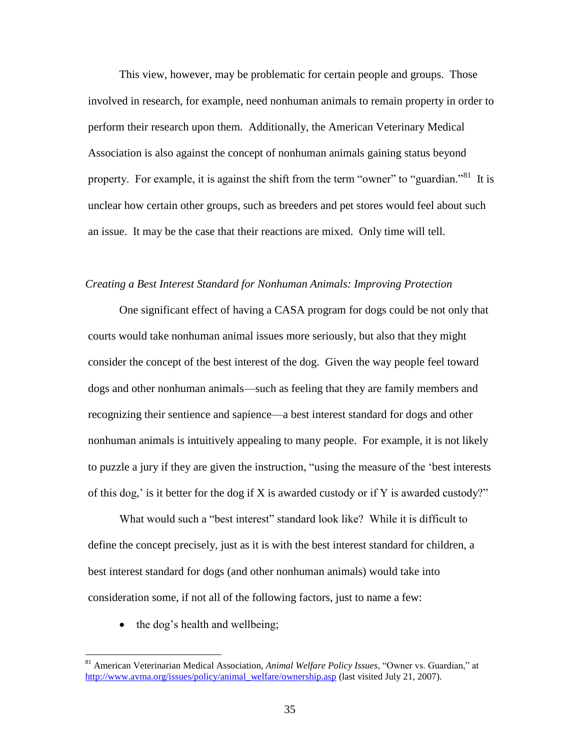This view, however, may be problematic for certain people and groups. Those involved in research, for example, need nonhuman animals to remain property in order to perform their research upon them. Additionally, the American Veterinary Medical Association is also against the concept of nonhuman animals gaining status beyond property. For example, it is against the shift from the term "owner" to "guardian."<sup>81</sup> It is unclear how certain other groups, such as breeders and pet stores would feel about such an issue. It may be the case that their reactions are mixed. Only time will tell.

## *Creating a Best Interest Standard for Nonhuman Animals: Improving Protection*

One significant effect of having a CASA program for dogs could be not only that courts would take nonhuman animal issues more seriously, but also that they might consider the concept of the best interest of the dog. Given the way people feel toward dogs and other nonhuman animals—such as feeling that they are family members and recognizing their sentience and sapience—a best interest standard for dogs and other nonhuman animals is intuitively appealing to many people. For example, it is not likely to puzzle a jury if they are given the instruction, "using the measure of the 'best interests of this dog,' is it better for the dog if X is awarded custody or if Y is awarded custody?"

What would such a "best interest" standard look like? While it is difficult to define the concept precisely, just as it is with the best interest standard for children, a best interest standard for dogs (and other nonhuman animals) would take into consideration some, if not all of the following factors, just to name a few:

• the dog's health and wellbeing;

<sup>&</sup>lt;sup>81</sup> American Veterinarian Medical Association, *Animal Welfare Policy Issues*, "Owner vs. Guardian," at [http://www.avma.org/issues/policy/animal\\_welfare/ownership.asp](http://www.avma.org/issues/policy/animal_welfare/ownership.asp) (last visited July 21, 2007).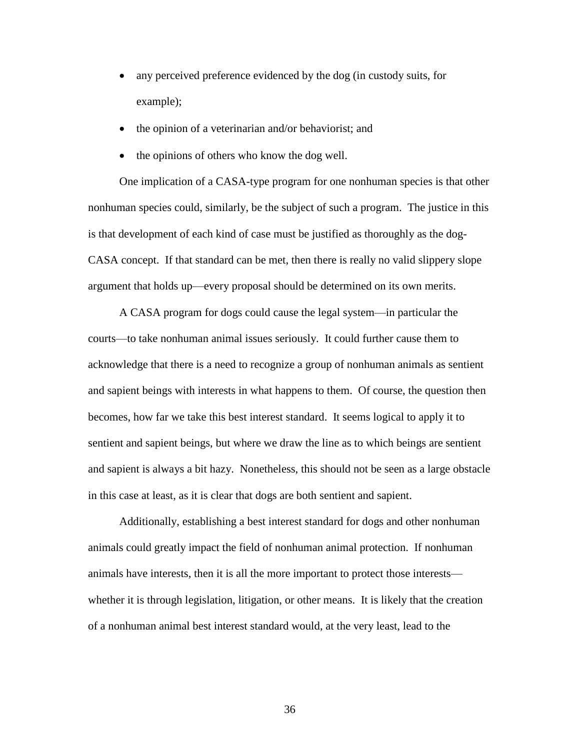- any perceived preference evidenced by the dog (in custody suits, for example);
- the opinion of a veterinarian and/or behaviorist; and
- the opinions of others who know the dog well.

One implication of a CASA-type program for one nonhuman species is that other nonhuman species could, similarly, be the subject of such a program. The justice in this is that development of each kind of case must be justified as thoroughly as the dog-CASA concept. If that standard can be met, then there is really no valid slippery slope argument that holds up—every proposal should be determined on its own merits.

A CASA program for dogs could cause the legal system—in particular the courts—to take nonhuman animal issues seriously. It could further cause them to acknowledge that there is a need to recognize a group of nonhuman animals as sentient and sapient beings with interests in what happens to them. Of course, the question then becomes, how far we take this best interest standard. It seems logical to apply it to sentient and sapient beings, but where we draw the line as to which beings are sentient and sapient is always a bit hazy. Nonetheless, this should not be seen as a large obstacle in this case at least, as it is clear that dogs are both sentient and sapient.

Additionally, establishing a best interest standard for dogs and other nonhuman animals could greatly impact the field of nonhuman animal protection. If nonhuman animals have interests, then it is all the more important to protect those interests whether it is through legislation, litigation, or other means. It is likely that the creation of a nonhuman animal best interest standard would, at the very least, lead to the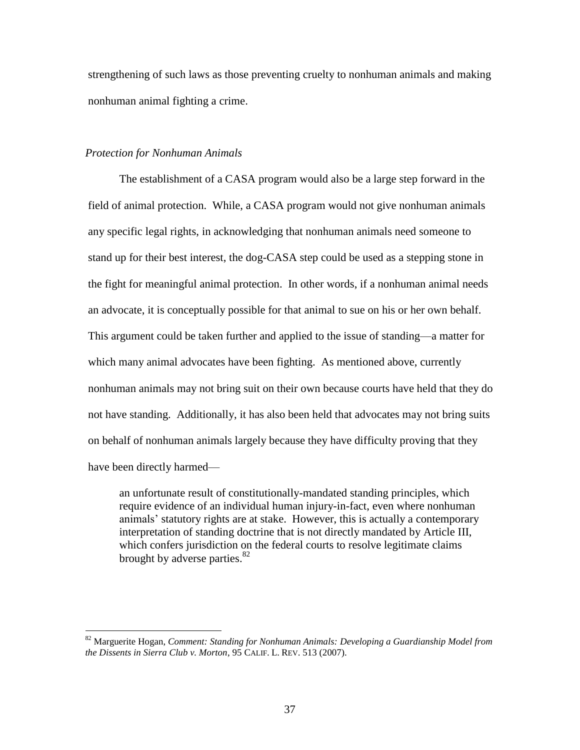strengthening of such laws as those preventing cruelty to nonhuman animals and making nonhuman animal fighting a crime.

# *Protection for Nonhuman Animals*

 $\overline{a}$ 

The establishment of a CASA program would also be a large step forward in the field of animal protection. While, a CASA program would not give nonhuman animals any specific legal rights, in acknowledging that nonhuman animals need someone to stand up for their best interest, the dog-CASA step could be used as a stepping stone in the fight for meaningful animal protection. In other words, if a nonhuman animal needs an advocate, it is conceptually possible for that animal to sue on his or her own behalf. This argument could be taken further and applied to the issue of standing—a matter for which many animal advocates have been fighting. As mentioned above, currently nonhuman animals may not bring suit on their own because courts have held that they do not have standing. Additionally, it has also been held that advocates may not bring suits on behalf of nonhuman animals largely because they have difficulty proving that they have been directly harmed—

an unfortunate result of constitutionally-mandated standing principles, which require evidence of an individual human injury-in-fact, even where nonhuman animals' statutory rights are at stake. However, this is actually a contemporary interpretation of standing doctrine that is not directly mandated by Article III, which confers jurisdiction on the federal courts to resolve legitimate claims brought by adverse parties. $82$ 

<sup>82</sup> Marguerite Hogan, *Comment: Standing for Nonhuman Animals: Developing a Guardianship Model from the Dissents in Sierra Club v. Morton*, 95 CALIF. L. REV. 513 (2007).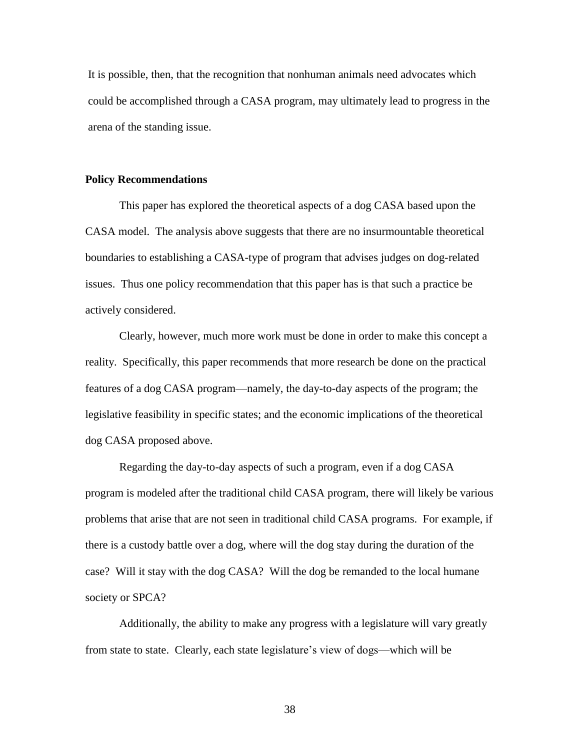It is possible, then, that the recognition that nonhuman animals need advocates which could be accomplished through a CASA program, may ultimately lead to progress in the arena of the standing issue.

### **Policy Recommendations**

This paper has explored the theoretical aspects of a dog CASA based upon the CASA model. The analysis above suggests that there are no insurmountable theoretical boundaries to establishing a CASA-type of program that advises judges on dog-related issues. Thus one policy recommendation that this paper has is that such a practice be actively considered.

Clearly, however, much more work must be done in order to make this concept a reality. Specifically, this paper recommends that more research be done on the practical features of a dog CASA program—namely, the day-to-day aspects of the program; the legislative feasibility in specific states; and the economic implications of the theoretical dog CASA proposed above.

Regarding the day-to-day aspects of such a program, even if a dog CASA program is modeled after the traditional child CASA program, there will likely be various problems that arise that are not seen in traditional child CASA programs. For example, if there is a custody battle over a dog, where will the dog stay during the duration of the case? Will it stay with the dog CASA? Will the dog be remanded to the local humane society or SPCA?

Additionally, the ability to make any progress with a legislature will vary greatly from state to state. Clearly, each state legislature's view of dogs—which will be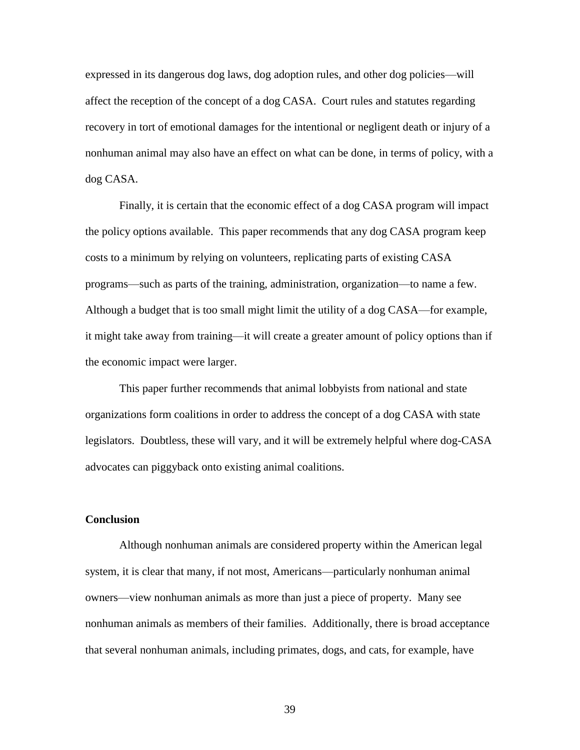expressed in its dangerous dog laws, dog adoption rules, and other dog policies—will affect the reception of the concept of a dog CASA. Court rules and statutes regarding recovery in tort of emotional damages for the intentional or negligent death or injury of a nonhuman animal may also have an effect on what can be done, in terms of policy, with a dog CASA.

Finally, it is certain that the economic effect of a dog CASA program will impact the policy options available. This paper recommends that any dog CASA program keep costs to a minimum by relying on volunteers, replicating parts of existing CASA programs—such as parts of the training, administration, organization—to name a few. Although a budget that is too small might limit the utility of a dog CASA—for example, it might take away from training—it will create a greater amount of policy options than if the economic impact were larger.

This paper further recommends that animal lobbyists from national and state organizations form coalitions in order to address the concept of a dog CASA with state legislators. Doubtless, these will vary, and it will be extremely helpful where dog-CASA advocates can piggyback onto existing animal coalitions.

# **Conclusion**

Although nonhuman animals are considered property within the American legal system, it is clear that many, if not most, Americans—particularly nonhuman animal owners—view nonhuman animals as more than just a piece of property. Many see nonhuman animals as members of their families. Additionally, there is broad acceptance that several nonhuman animals, including primates, dogs, and cats, for example, have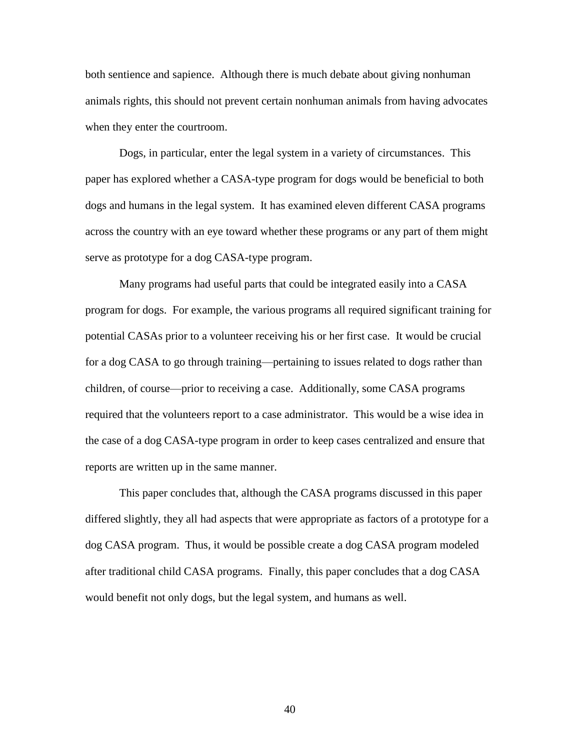both sentience and sapience. Although there is much debate about giving nonhuman animals rights, this should not prevent certain nonhuman animals from having advocates when they enter the courtroom.

Dogs, in particular, enter the legal system in a variety of circumstances. This paper has explored whether a CASA-type program for dogs would be beneficial to both dogs and humans in the legal system. It has examined eleven different CASA programs across the country with an eye toward whether these programs or any part of them might serve as prototype for a dog CASA-type program.

Many programs had useful parts that could be integrated easily into a CASA program for dogs. For example, the various programs all required significant training for potential CASAs prior to a volunteer receiving his or her first case. It would be crucial for a dog CASA to go through training—pertaining to issues related to dogs rather than children, of course—prior to receiving a case. Additionally, some CASA programs required that the volunteers report to a case administrator. This would be a wise idea in the case of a dog CASA-type program in order to keep cases centralized and ensure that reports are written up in the same manner.

This paper concludes that, although the CASA programs discussed in this paper differed slightly, they all had aspects that were appropriate as factors of a prototype for a dog CASA program. Thus, it would be possible create a dog CASA program modeled after traditional child CASA programs. Finally, this paper concludes that a dog CASA would benefit not only dogs, but the legal system, and humans as well.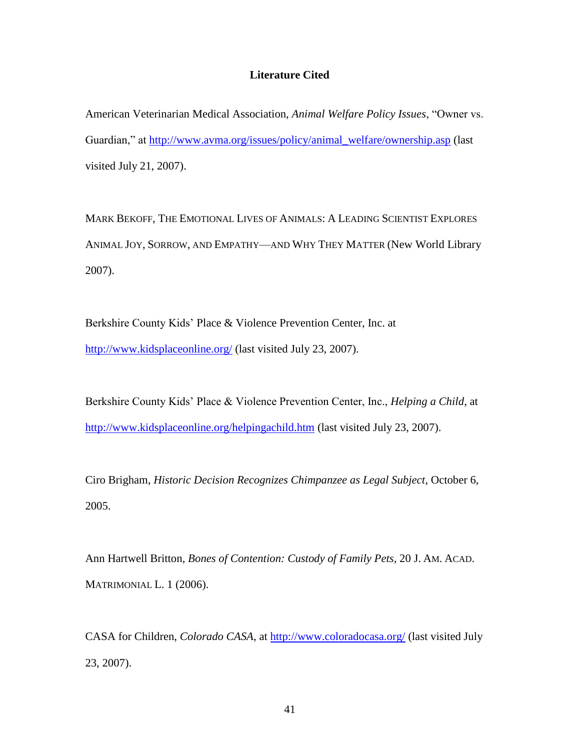# **Literature Cited**

American Veterinarian Medical Association, *Animal Welfare Policy Issues*, "Owner vs. Guardian," at [http://www.avma.org/issues/policy/animal\\_welfare/ownership.asp](http://www.avma.org/issues/policy/animal_welfare/ownership.asp) (last visited July 21, 2007).

MARK BEKOFF, THE EMOTIONAL LIVES OF ANIMALS: A LEADING SCIENTIST EXPLORES ANIMAL JOY, SORROW, AND EMPATHY—AND WHY THEY MATTER (New World Library 2007).

Berkshire County Kids' Place & Violence Prevention Center, Inc. at <http://www.kidsplaceonline.org/> (last visited July 23, 2007).

Berkshire County Kids' Place & Violence Prevention Center, Inc., *Helping a Child*, at <http://www.kidsplaceonline.org/helpingachild.htm> (last visited July 23, 2007).

Ciro Brigham, *Historic Decision Recognizes Chimpanzee as Legal Subject*, October 6, 2005.

Ann Hartwell Britton, *Bones of Contention: Custody of Family Pets*, 20 J. AM. ACAD. MATRIMONIAL L. 1 (2006).

CASA for Children, *Colorado CASA*, at<http://www.coloradocasa.org/> (last visited July 23, 2007).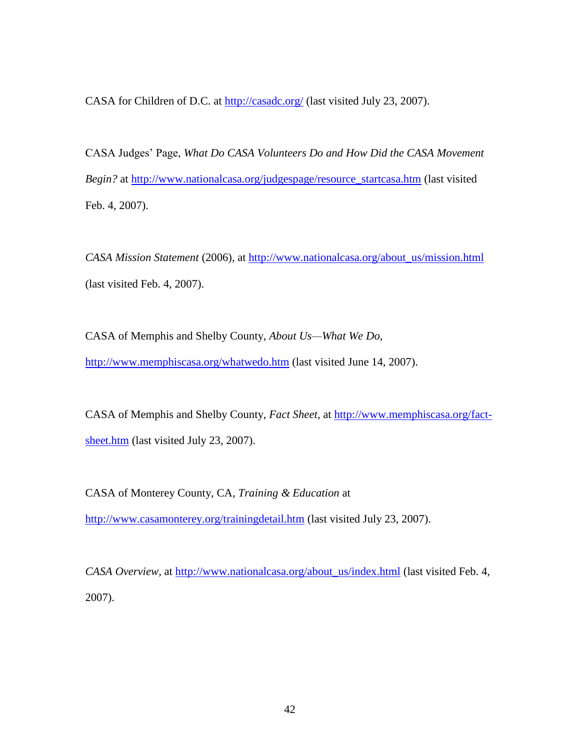CASA for Children of D.C. at<http://casadc.org/> (last visited July 23, 2007).

CASA Judges' Page, *What Do CASA Volunteers Do and How Did the CASA Movement Begin?* at [http://www.nationalcasa.org/judgespage/resource\\_startcasa.htm](http://www.nationalcasa.org/judgespage/resource_startcasa.htm) (last visited Feb. 4, 2007).

*CASA Mission Statement* (2006), at [http://www.nationalcasa.org/about\\_us/mission.html](http://www.nationalcasa.org/about_us/mission.html) (last visited Feb. 4, 2007).

CASA of Memphis and Shelby County, *About Us—What We Do*, <http://www.memphiscasa.org/whatwedo.htm> (last visited June 14, 2007).

CASA of Memphis and Shelby County, *Fact Sheet*, at [http://www.memphiscasa.org/fact](http://www.memphiscasa.org/fact-sheet.htm)[sheet.htm](http://www.memphiscasa.org/fact-sheet.htm) (last visited July 23, 2007).

CASA of Monterey County, CA, *Training & Education* at <http://www.casamonterey.org/trainingdetail.htm> (last visited July 23, 2007).

*CASA Overview*, at [http://www.nationalcasa.org/about\\_us/index.html](http://www.nationalcasa.org/about_us/index.html) (last visited Feb. 4, 2007).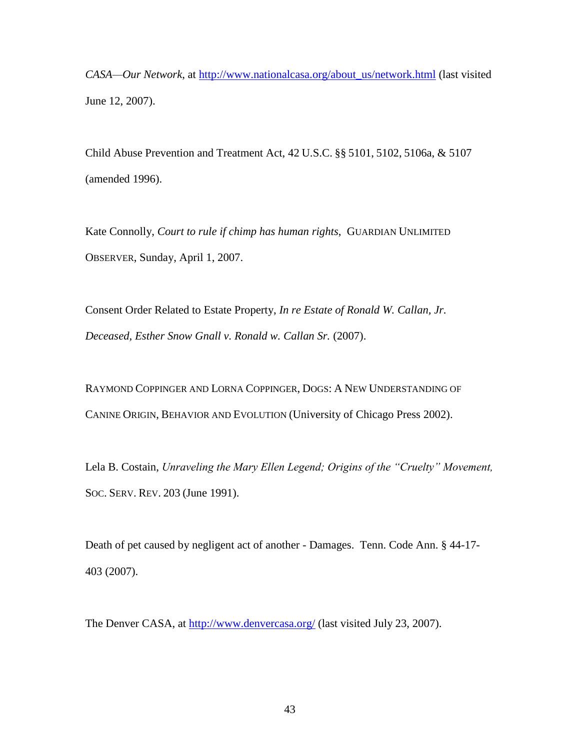*CASA—Our Network*, at [http://www.nationalcasa.org/about\\_us/network.html](http://www.nationalcasa.org/about_us/network.html) (last visited June 12, 2007).

Child Abuse Prevention and Treatment Act, 42 U.S.C. §§ 5101, 5102, 5106a, & 5107 (amended 1996).

Kate Connolly, *Court to rule if chimp has human rights*, GUARDIAN UNLIMITED OBSERVER, Sunday, April 1, 2007.

Consent Order Related to Estate Property, *In re Estate of Ronald W. Callan, Jr. Deceased, Esther Snow Gnall v. Ronald w. Callan Sr.* (2007).

RAYMOND COPPINGER AND LORNA COPPINGER, DOGS: A NEW UNDERSTANDING OF CANINE ORIGIN, BEHAVIOR AND EVOLUTION (University of Chicago Press 2002).

Lela B. Costain, *Unraveling the Mary Ellen Legend; Origins of the "Cruelty" Movement,*  SOC. SERV. REV. 203 (June 1991).

Death of pet caused by negligent act of another - Damages. Tenn. Code Ann. § 44-17- 403 (2007).

The Denver CASA, at<http://www.denvercasa.org/> (last visited July 23, 2007).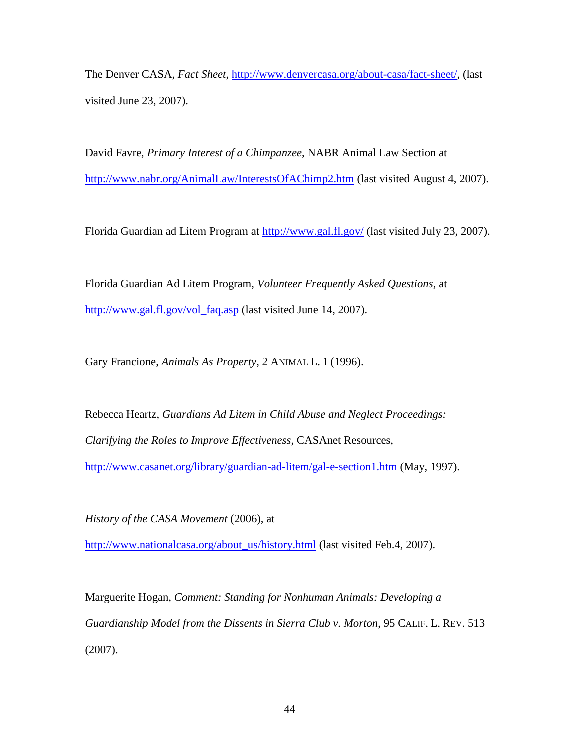The Denver CASA, *Fact Sheet*, [http://www.denvercasa.org/about-casa/fact-sheet/,](http://www.denvercasa.org/about-casa/fact-sheet/) (last visited June 23, 2007).

David Favre, *Primary Interest of a Chimpanzee*, NABR Animal Law Section at <http://www.nabr.org/AnimalLaw/InterestsOfAChimp2.htm> (last visited August 4, 2007).

Florida Guardian ad Litem Program at<http://www.gal.fl.gov/> (last visited July 23, 2007).

Florida Guardian Ad Litem Program, *Volunteer Frequently Asked Questions*, at [http://www.gal.fl.gov/vol\\_faq.asp](http://www.gal.fl.gov/vol_faq.asp) (last visited June 14, 2007).

Gary Francione, *Animals As Property*, 2 ANIMAL L. 1 (1996).

Rebecca Heartz, *Guardians Ad Litem in Child Abuse and Neglect Proceedings: Clarifying the Roles to Improve Effectiveness*, CASAnet Resources, <http://www.casanet.org/library/guardian-ad-litem/gal-e-section1.htm> (May, 1997).

*History of the CASA Movement* (2006), at

[http://www.nationalcasa.org/about\\_us/history.html](http://www.nationalcasa.org/about_us/history.html) (last visited Feb.4, 2007).

Marguerite Hogan, *Comment: Standing for Nonhuman Animals: Developing a Guardianship Model from the Dissents in Sierra Club v. Morton*, 95 CALIF. L. REV. 513 (2007).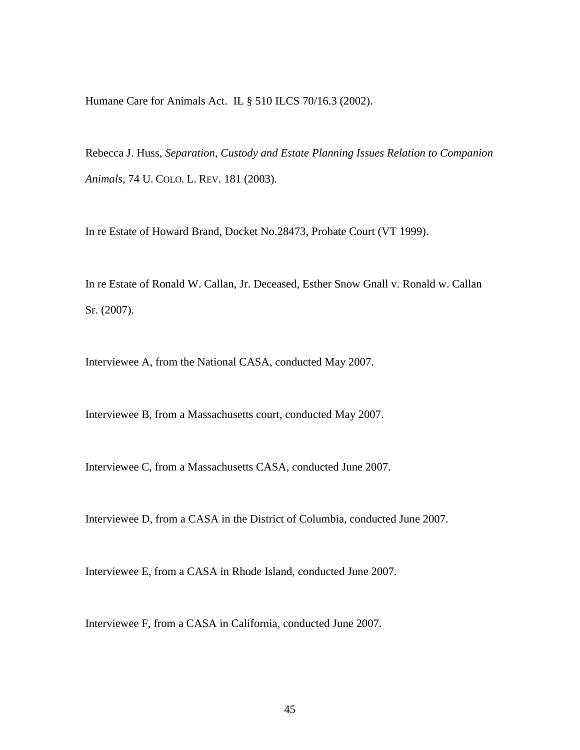Humane Care for Animals Act. IL § 510 ILCS 70/16.3 (2002).

Rebecca J. Huss, *Separation, Custody and Estate Planning Issues Relation to Companion Animals,* 74 U. COLO. L. REV. 181 (2003).

In re Estate of Howard Brand, Docket No.28473, Probate Court (VT 1999).

In re Estate of Ronald W. Callan, Jr. Deceased, Esther Snow Gnall v. Ronald w. Callan Sr. (2007).

Interviewee A, from the National CASA, conducted May 2007.

Interviewee B, from a Massachusetts court, conducted May 2007.

Interviewee C, from a Massachusetts CASA, conducted June 2007.

Interviewee D, from a CASA in the District of Columbia, conducted June 2007.

Interviewee E, from a CASA in Rhode Island, conducted June 2007.

Interviewee F, from a CASA in California, conducted June 2007.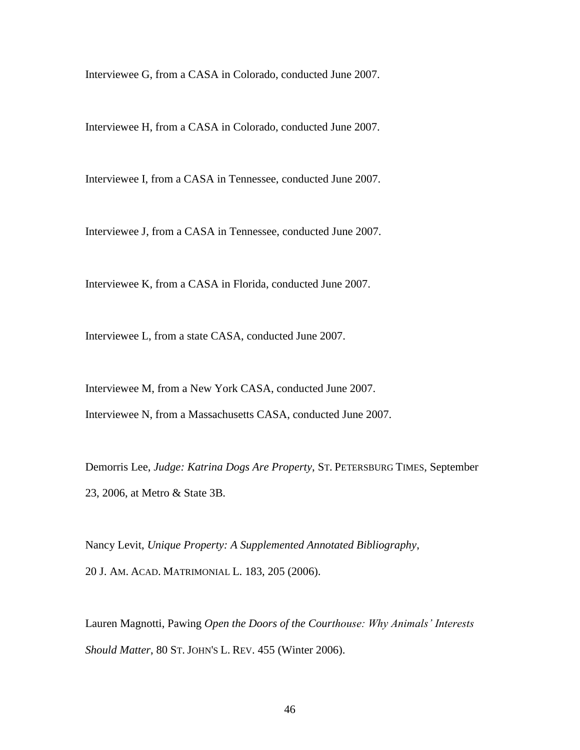Interviewee G, from a CASA in Colorado, conducted June 2007.

Interviewee H, from a CASA in Colorado, conducted June 2007.

Interviewee I, from a CASA in Tennessee, conducted June 2007.

Interviewee J, from a CASA in Tennessee, conducted June 2007.

Interviewee K, from a CASA in Florida, conducted June 2007.

Interviewee L, from a state CASA, conducted June 2007.

Interviewee M, from a New York CASA, conducted June 2007. Interviewee N, from a Massachusetts CASA, conducted June 2007.

Demorris Lee, *Judge: Katrina Dogs Are Property*, ST. PETERSBURG TIMES, September 23, 2006, at Metro & State 3B.

Nancy Levit, *Unique Property: A Supplemented Annotated Bibliography*, 20 J. AM. ACAD. MATRIMONIAL L. 183, 205 (2006).

Lauren Magnotti, Pawing *Open the Doors of the Courthouse: Why Animals' Interests Should Matter*, 80 ST. JOHN'S L. REV. 455 (Winter 2006).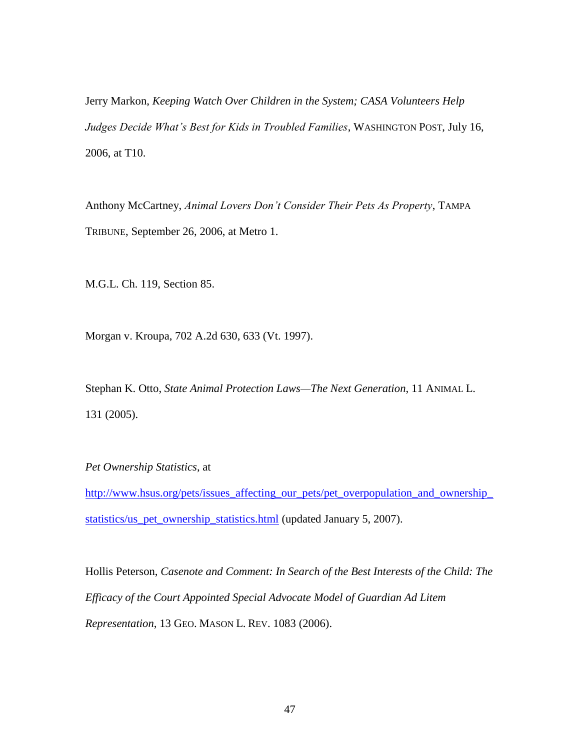Jerry Markon, *Keeping Watch Over Children in the System; CASA Volunteers Help Judges Decide What's Best for Kids in Troubled Families*, WASHINGTON POST, July 16, 2006, at T10.

Anthony McCartney, *Animal Lovers Don't Consider Their Pets As Property*, TAMPA TRIBUNE, September 26, 2006, at Metro 1.

M.G.L. Ch. 119, Section 85.

Morgan v. Kroupa, 702 A.2d 630, 633 (Vt. 1997).

Stephan K. Otto, *State Animal Protection Laws—The Next Generation*, 11 ANIMAL L. 131 (2005).

*Pet Ownership Statistics*, at

[http://www.hsus.org/pets/issues\\_affecting\\_our\\_pets/pet\\_overpopulation\\_and\\_ownership\\_](http://www.hsus.org/pets/issues_affecting_our_pets/pet_overpopulation_and_ownership_statistics/us_pet_ownership_statistics.html) [statistics/us\\_pet\\_ownership\\_statistics.html](http://www.hsus.org/pets/issues_affecting_our_pets/pet_overpopulation_and_ownership_statistics/us_pet_ownership_statistics.html) (updated January 5, 2007).

Hollis Peterson, *Casenote and Comment: In Search of the Best Interests of the Child: The Efficacy of the Court Appointed Special Advocate Model of Guardian Ad Litem Representation*, 13 GEO. MASON L. REV. 1083 (2006).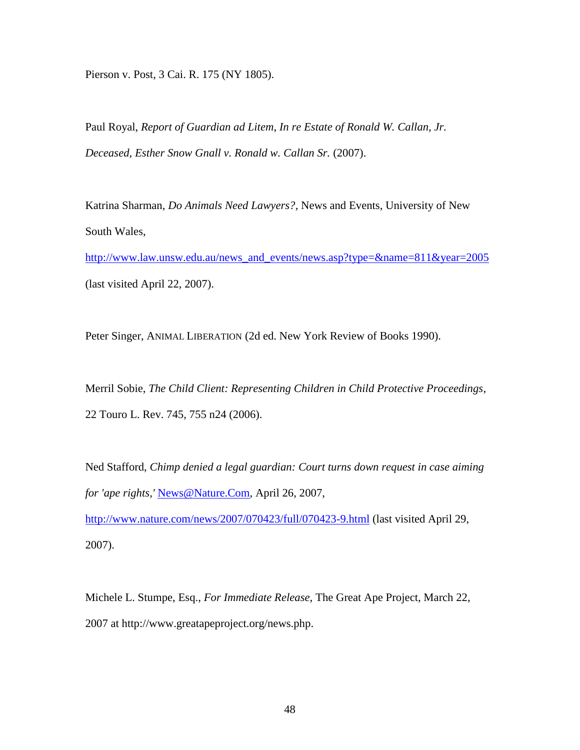Pierson v. Post, 3 Cai. R. 175 (NY 1805).

Paul Royal, *Report of Guardian ad Litem*, *In re Estate of Ronald W. Callan, Jr. Deceased, Esther Snow Gnall v. Ronald w. Callan Sr.* (2007).

Katrina Sharman, *Do Animals Need Lawyers?*, News and Events, University of New South Wales,

[http://www.law.unsw.edu.au/news\\_and\\_events/news.asp?type=&name=811&year=2005](http://www.law.unsw.edu.au/news_and_events/news.asp?type=&name=811&year=2005) (last visited April 22, 2007).

Peter Singer, ANIMAL LIBERATION (2d ed. New York Review of Books 1990).

Merril Sobie, *The Child Client: Representing Children in Child Protective Proceedings*, 22 Touro L. Rev. 745, 755 n24 (2006).

Ned Stafford, *Chimp denied a legal guardian: Court turns down request in case aiming for 'ape rights,'* [News@Nature.Com,](mailto:News@Nature.Com) April 26, 2007,

<http://www.nature.com/news/2007/070423/full/070423-9.html> (last visited April 29, 2007).

Michele L. Stumpe, Esq., *For Immediate Release*, The Great Ape Project, March 22, 2007 at http://www.greatapeproject.org/news.php.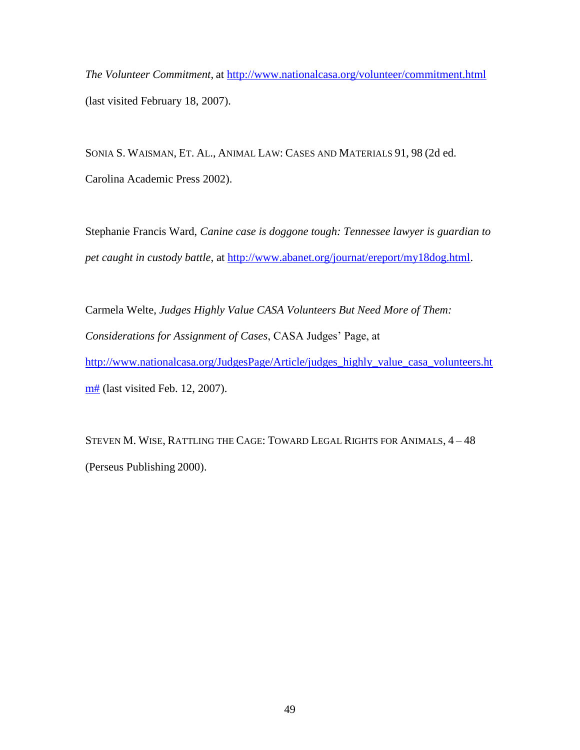*The Volunteer Commitment*, at<http://www.nationalcasa.org/volunteer/commitment.html> (last visited February 18, 2007).

SONIA S. WAISMAN, ET. AL., ANIMAL LAW: CASES AND MATERIALS 91, 98 (2d ed. Carolina Academic Press 2002).

Stephanie Francis Ward, *Canine case is doggone tough: Tennessee lawyer is guardian to pet caught in custody battle*, at [http://www.abanet.org/journat/ereport/my18dog.html.](http://www.abanet.org/journat/ereport/my18dog.html)

Carmela Welte, *Judges Highly Value CASA Volunteers But Need More of Them: Considerations for Assignment of Cases*, CASA Judges' Page, at [http://www.nationalcasa.org/JudgesPage/Article/judges\\_highly\\_value\\_casa\\_volunteers.ht](http://www.nationalcasa.org/JudgesPage/Article/judges_highly_value_casa_volunteers.htm) [m#](http://www.nationalcasa.org/JudgesPage/Article/judges_highly_value_casa_volunteers.htm) (last visited Feb. 12, 2007).

STEVEN M. WISE, RATTLING THE CAGE: TOWARD LEGAL RIGHTS FOR ANIMALS, 4 – 48 (Perseus Publishing 2000).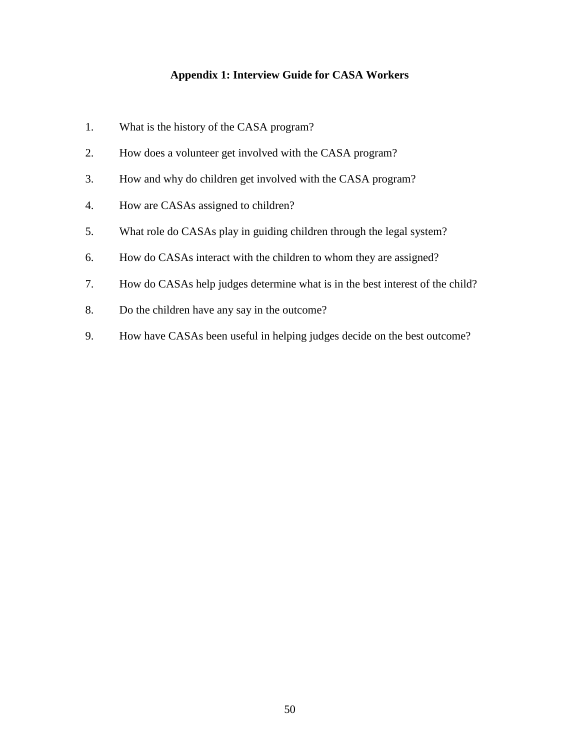# **Appendix 1: Interview Guide for CASA Workers**

- 1. What is the history of the CASA program?
- 2. How does a volunteer get involved with the CASA program?
- 3. How and why do children get involved with the CASA program?
- 4. How are CASAs assigned to children?
- 5. What role do CASAs play in guiding children through the legal system?
- 6. How do CASAs interact with the children to whom they are assigned?
- 7. How do CASAs help judges determine what is in the best interest of the child?
- 8. Do the children have any say in the outcome?
- 9. How have CASAs been useful in helping judges decide on the best outcome?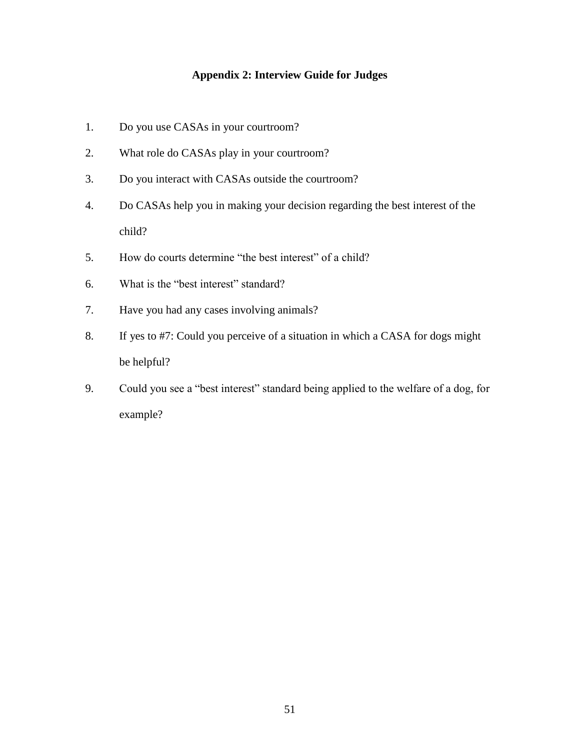# **Appendix 2: Interview Guide for Judges**

- 1. Do you use CASAs in your courtroom?
- 2. What role do CASAs play in your courtroom?
- 3. Do you interact with CASAs outside the courtroom?
- 4. Do CASAs help you in making your decision regarding the best interest of the child?
- 5. How do courts determine "the best interest" of a child?
- 6. What is the "best interest" standard?
- 7. Have you had any cases involving animals?
- 8. If yes to #7: Could you perceive of a situation in which a CASA for dogs might be helpful?
- 9. Could you see a "best interest" standard being applied to the welfare of a dog, for example?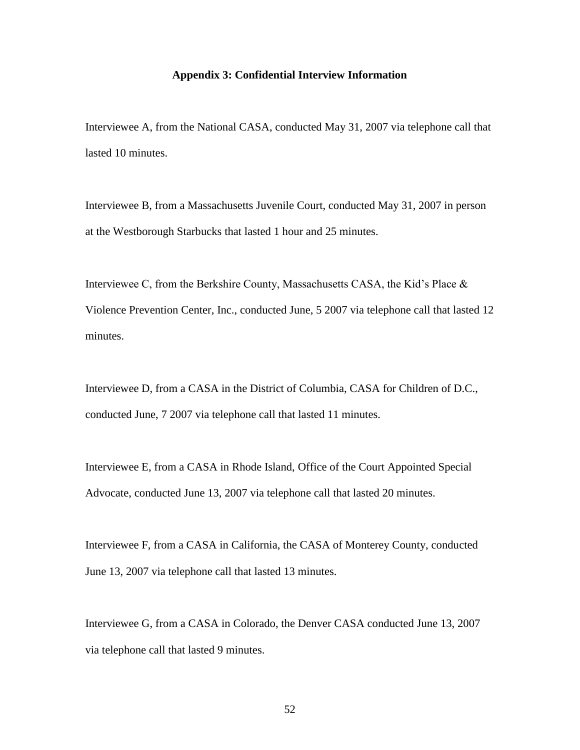#### **Appendix 3: Confidential Interview Information**

Interviewee A, from the National CASA, conducted May 31, 2007 via telephone call that lasted 10 minutes.

Interviewee B, from a Massachusetts Juvenile Court, conducted May 31, 2007 in person at the Westborough Starbucks that lasted 1 hour and 25 minutes.

Interviewee C, from the Berkshire County, Massachusetts CASA, the Kid's Place & Violence Prevention Center, Inc., conducted June, 5 2007 via telephone call that lasted 12 minutes.

Interviewee D, from a CASA in the District of Columbia, CASA for Children of D.C., conducted June, 7 2007 via telephone call that lasted 11 minutes.

Interviewee E, from a CASA in Rhode Island, Office of the Court Appointed Special Advocate, conducted June 13, 2007 via telephone call that lasted 20 minutes.

Interviewee F, from a CASA in California, the CASA of Monterey County, conducted June 13, 2007 via telephone call that lasted 13 minutes.

Interviewee G, from a CASA in Colorado, the Denver CASA conducted June 13, 2007 via telephone call that lasted 9 minutes.